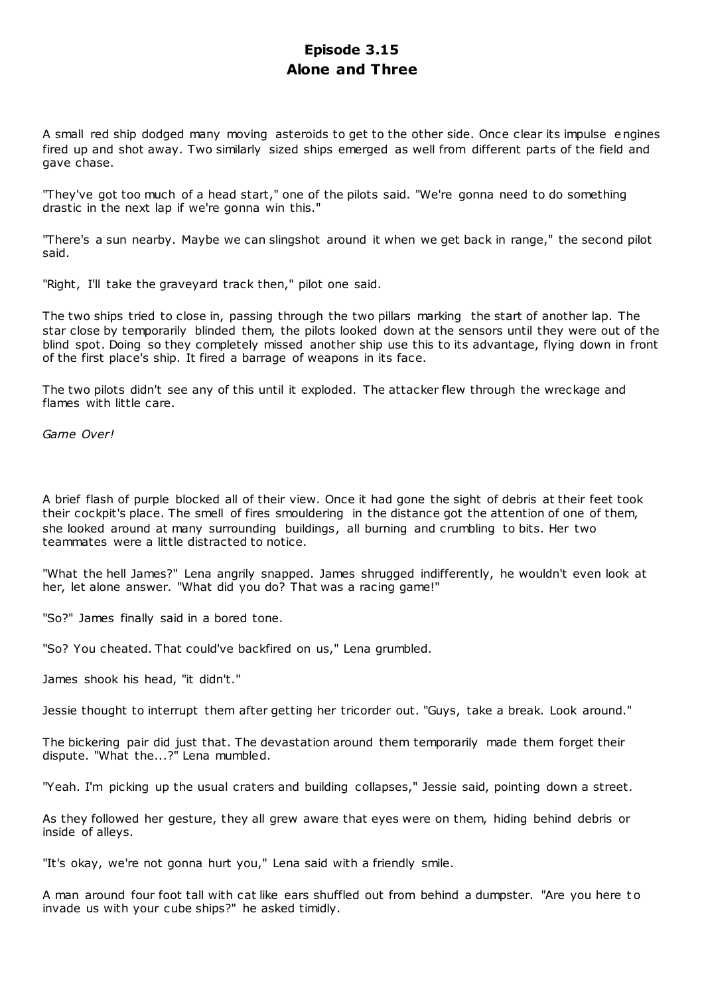## **Episode 3.15 Alone and Three**

A small red ship dodged many moving asteroids to get to the other side. Once clear its impulse engines fired up and shot away. Two similarly sized ships emerged as well from different parts of the field and gave chase.

"They've got too much of a head start," one of the pilots said. "We're gonna need to do something drastic in the next lap if we're gonna win this."

"There's a sun nearby. Maybe we can slingshot around it when we get back in range," the second pilot said.

"Right, I'll take the graveyard track then," pilot one said.

The two ships tried to close in, passing through the two pillars marking the start of another lap. The star close by temporarily blinded them, the pilots looked down at the sensors until they were out of the blind spot. Doing so they completely missed another ship use this to its advantage, flying down in front of the first place's ship. It fired a barrage of weapons in its face.

The two pilots didn't see any of this until it exploded. The attacker flew through the wreckage and flames with little care.

*Game Over!*

A brief flash of purple blocked all of their view. Once it had gone the sight of debris at their feet took their cockpit's place. The smell of fires smouldering in the distance got the attention of one of them, she looked around at many surrounding buildings, all burning and crumbling to bits. Her two teammates were a little distracted to notice.

"What the hell James?" Lena angrily snapped. James shrugged indifferently, he wouldn't even look at her, let alone answer. "What did you do? That was a racing game!"

"So?" James finally said in a bored tone.

"So? You cheated. That could've backfired on us," Lena grumbled.

James shook his head, "it didn't."

Jessie thought to interrupt them after getting her tricorder out. "Guys, take a break. Look around."

The bickering pair did just that. The devastation around them temporarily made them forget their dispute. "What the...?" Lena mumbled.

"Yeah. I'm picking up the usual craters and building collapses," Jessie said, pointing down a street.

As they followed her gesture, they all grew aware that eyes were on them, hiding behind debris or inside of alleys.

"It's okay, we're not gonna hurt you," Lena said with a friendly smile.

A man around four foot tall with cat like ears shuffled out from behind a dumpster. "Are you here t o invade us with your cube ships?" he asked timidly.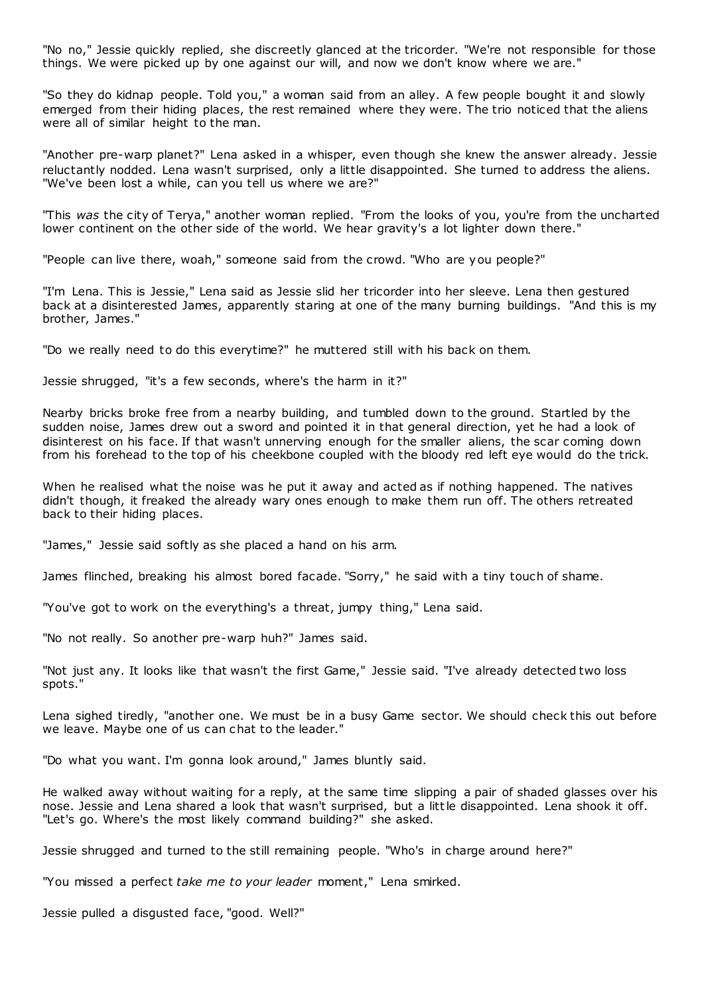"No no," Jessie quickly replied, she discreetly glanced at the tricorder. "We're not responsible for those things. We were picked up by one against our will, and now we don't know where we are."

"So they do kidnap people. Told you," a woman said from an alley. A few people bought it and slowly emerged from their hiding places, the rest remained where they were. The trio noticed that the aliens were all of similar height to the man.

"Another pre-warp planet?" Lena asked in a whisper, even though she knew the answer already. Jessie reluctantly nodded. Lena wasn't surprised, only a little disappointed. She turned to address the aliens. "We've been lost a while, can you tell us where we are?"

"This *was* the city of Terya," another woman replied. "From the looks of you, you're from the uncharted lower continent on the other side of the world. We hear gravity's a lot lighter down there."

"People can live there, woah," someone said from the crowd. "Who are you people?"

"I'm Lena. This is Jessie," Lena said as Jessie slid her tricorder into her sleeve. Lena then gestured back at a disinterested James, apparently staring at one of the many burning buildings. "And this is my brother, James."

"Do we really need to do this everytime?" he muttered still with his back on them.

Jessie shrugged, "it's a few seconds, where's the harm in it?"

Nearby bricks broke free from a nearby building, and tumbled down to the ground. Startled by the sudden noise, James drew out a sword and pointed it in that general direction, yet he had a look of disinterest on his face. If that wasn't unnerving enough for the smaller aliens, the scar coming down from his forehead to the top of his cheekbone coupled with the bloody red left eye would do the trick.

When he realised what the noise was he put it away and acted as if nothing happened. The natives didn't though, it freaked the already wary ones enough to make them run off. The others retreated back to their hiding places.

"James," Jessie said softly as she placed a hand on his arm.

James flinched, breaking his almost bored facade. "Sorry," he said with a tiny touch of shame.

"You've got to work on the everything's a threat, jumpy thing," Lena said.

"No not really. So another pre-warp huh?" James said.

"Not just any. It looks like that wasn't the first Game," Jessie said. "I've already detected two loss spots."

Lena sighed tiredly, "another one. We must be in a busy Game sector. We should check this out before we leave. Maybe one of us can chat to the leader."

"Do what you want. I'm gonna look around," James bluntly said.

He walked away without waiting for a reply, at the same time slipping a pair of shaded glasses over his nose. Jessie and Lena shared a look that wasn't surprised, but a little disappointed. Lena shook it off. "Let's go. Where's the most likely command building?" she asked.

Jessie shrugged and turned to the still remaining people. "Who's in charge around here?"

"You missed a perfect *take me to your leader* moment," Lena smirked.

Jessie pulled a disgusted face, "good. Well?"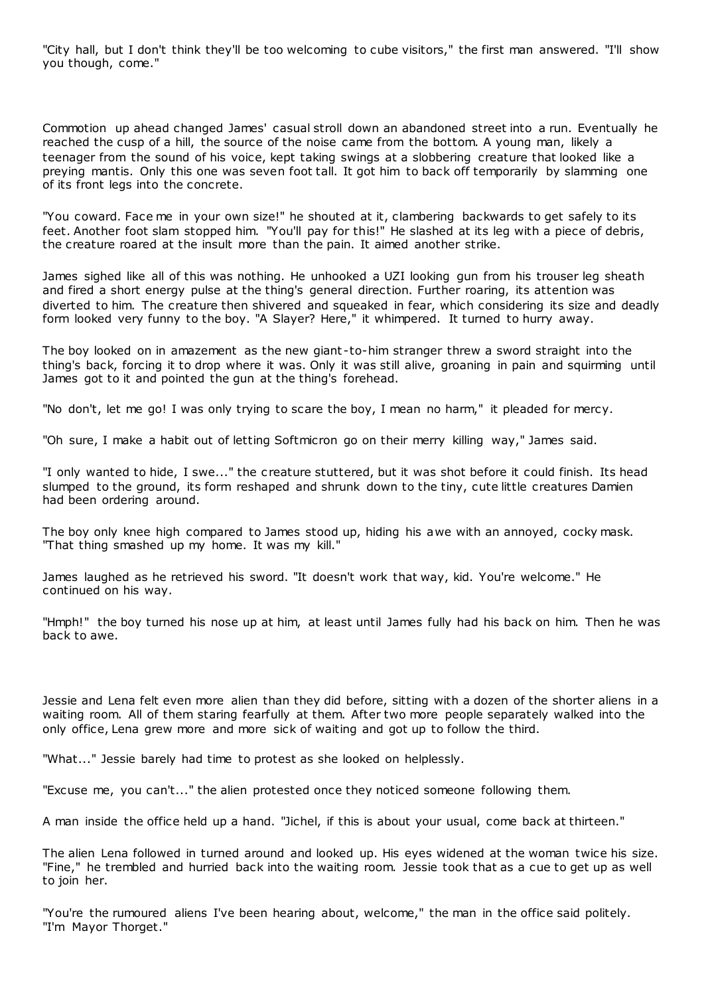"City hall, but I don't think they'll be too welcoming to cube visitors," the first man answered. "I'll show you though, come."

Commotion up ahead changed James' casual stroll down an abandoned street into a run. Eventually he reached the cusp of a hill, the source of the noise came from the bottom. A young man, likely a teenager from the sound of his voice, kept taking swings at a slobbering creature that looked like a preying mantis. Only this one was seven foot tall. It got him to back off temporarily by slamming one of its front legs into the concrete.

"You coward. Face me in your own size!" he shouted at it, clambering backwards to get safely to its feet. Another foot slam stopped him. "You'll pay for this!" He slashed at its leg with a piece of debris, the creature roared at the insult more than the pain. It aimed another strike.

James sighed like all of this was nothing. He unhooked a UZI looking gun from his trouser leg sheath and fired a short energy pulse at the thing's general direction. Further roaring, its attention was diverted to him. The creature then shivered and squeaked in fear, which considering its size and deadly form looked very funny to the boy. "A Slayer? Here," it whimpered. It turned to hurry away.

The boy looked on in amazement as the new giant -to-him stranger threw a sword straight into the thing's back, forcing it to drop where it was. Only it was still alive, groaning in pain and squirming until James got to it and pointed the gun at the thing's forehead.

"No don't, let me go! I was only trying to scare the boy, I mean no harm," it pleaded for mercy.

"Oh sure, I make a habit out of letting Softmicron go on their merry killing way," James said.

"I only wanted to hide, I swe..." the c reature stuttered, but it was shot before it could finish. Its head slumped to the ground, its form reshaped and shrunk down to the tiny, cute little creatures Damien had been ordering around.

The boy only knee high compared to James stood up, hiding his awe with an annoyed, cocky mask. "That thing smashed up my home. It was my kill."

James laughed as he retrieved his sword. "It doesn't work that way, kid. You're welcome." He continued on his way.

"Hmph!" the boy turned his nose up at him, at least until James fully had his back on him. Then he was back to awe.

Jessie and Lena felt even more alien than they did before, sitting with a dozen of the shorter aliens in a waiting room. All of them staring fearfully at them. After two more people separately walked into the only office, Lena grew more and more sick of waiting and got up to follow the third.

"What..." Jessie barely had time to protest as she looked on helplessly.

"Excuse me, you can't..." the alien protested once they noticed someone following them.

A man inside the office held up a hand. "Jichel, if this is about your usual, come back at thirteen."

The alien Lena followed in turned around and looked up. His eyes widened at the woman twice his size. "Fine," he trembled and hurried back into the waiting room. Jessie took that as a cue to get up as well to join her.

"You're the rumoured aliens I've been hearing about, welcome," the man in the office said politely. "I'm Mayor Thorget."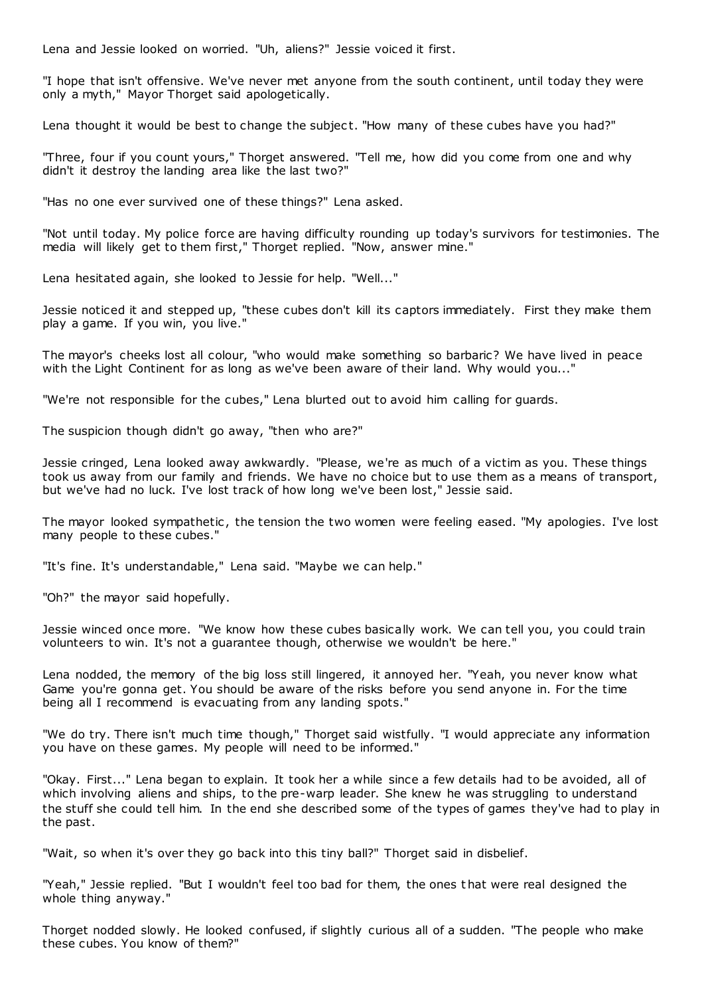Lena and Jessie looked on worried. "Uh, aliens?" Jessie voiced it first.

"I hope that isn't offensive. We've never met anyone from the south continent, until today they were only a myth," Mayor Thorget said apologetically.

Lena thought it would be best to change the subject. "How many of these cubes have you had?"

"Three, four if you count yours," Thorget answered. "Tell me, how did you come from one and why didn't it destroy the landing area like the last two?"

"Has no one ever survived one of these things?" Lena asked.

"Not until today. My police force are having difficulty rounding up today's survivors for testimonies. The media will likely get to them first," Thorget replied. "Now, answer mine."

Lena hesitated again, she looked to Jessie for help. "Well..."

Jessie noticed it and stepped up, "these cubes don't kill its captors immediately. First they make them play a game. If you win, you live."

The mayor's cheeks lost all colour, "who would make something so barbaric? We have lived in peace with the Light Continent for as long as we've been aware of their land. Why would you..."

"We're not responsible for the cubes," Lena blurted out to avoid him calling for guards.

The suspicion though didn't go away, "then who are?"

Jessie cringed, Lena looked away awkwardly. "Please, we're as much of a victim as you. These things took us away from our family and friends. We have no choice but to use them as a means of transport, but we've had no luck. I've lost track of how long we've been lost," Jessie said.

The mayor looked sympathetic, the tension the two women were feeling eased. "My apologies. I've lost many people to these cubes."

"It's fine. It's understandable," Lena said. "Maybe we can help."

"Oh?" the mayor said hopefully.

Jessie winced once more. "We know how these cubes basically work. We can tell you, you could train volunteers to win. It's not a guarantee though, otherwise we wouldn't be here."

Lena nodded, the memory of the big loss still lingered, it annoyed her. "Yeah, you never know what Game you're gonna get. You should be aware of the risks before you send anyone in. For the time being all I recommend is evacuating from any landing spots."

"We do try. There isn't much time though," Thorget said wistfully. "I would appreciate any information you have on these games. My people will need to be informed."

"Okay. First..." Lena began to explain. It took her a while since a few details had to be avoided, all of which involving aliens and ships, to the pre-warp leader. She knew he was struggling to understand the stuff she could tell him. In the end she described some of the types of games they've had to play in the past.

"Wait, so when it's over they go back into this tiny ball?" Thorget said in disbelief.

"Yeah," Jessie replied. "But I wouldn't feel too bad for them, the ones t hat were real designed the whole thing anyway."

Thorget nodded slowly. He looked confused, if slightly curious all of a sudden. "The people who make these cubes. You know of them?"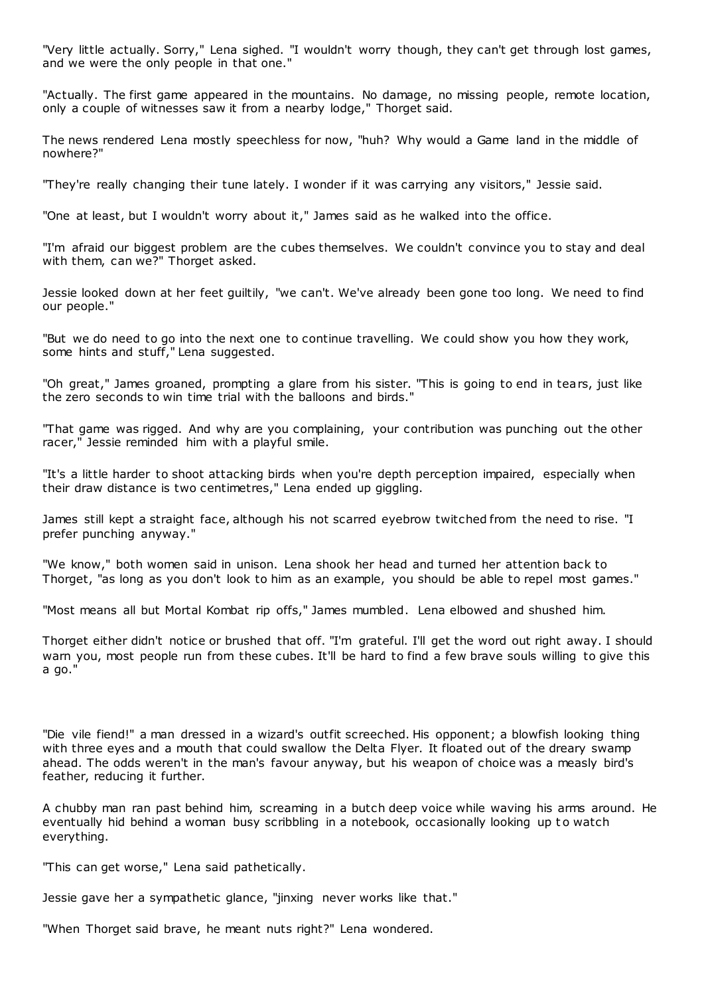"Very little actually. Sorry," Lena sighed. "I wouldn't worry though, they can't get through lost games, and we were the only people in that one."

"Actually. The first game appeared in the mountains. No damage, no missing people, remote location, only a couple of witnesses saw it from a nearby lodge," Thorget said.

The news rendered Lena mostly speechless for now, "huh? Why would a Game land in the middle of nowhere?"

"They're really changing their tune lately. I wonder if it was carrying any visitors," Jessie said.

"One at least, but I wouldn't worry about it," James said as he walked into the office.

"I'm afraid our biggest problem are the cubes themselves. We couldn't convince you to stay and deal with them, can we?" Thorget asked.

Jessie looked down at her feet guiltily, "we can't. We've already been gone too long. We need to find our people."

"But we do need to go into the next one to continue travelling. We could show you how they work, some hints and stuff," Lena suggested.

"Oh great," James groaned, prompting a glare from his sister. "This is going to end in tears, just like the zero seconds to win time trial with the balloons and birds."

"That game was rigged. And why are you complaining, your contribution was punching out the other racer," Jessie reminded him with a playful smile.

"It's a little harder to shoot attacking birds when you're depth perception impaired, especially when their draw distance is two centimetres," Lena ended up giggling.

James still kept a straight face, although his not scarred eyebrow twitched from the need to rise. "I prefer punching anyway."

"We know," both women said in unison. Lena shook her head and turned her attention back to Thorget, "as long as you don't look to him as an example, you should be able to repel most games."

"Most means all but Mortal Kombat rip offs," James mumbled. Lena elbowed and shushed him.

Thorget either didn't notice or brushed that off. "I'm grateful. I'll get the word out right away. I should warn you, most people run from these cubes. It'll be hard to find a few brave souls willing to give this a go."

"Die vile fiend!" a man dressed in a wizard's outfit screeched. His opponent; a blowfish looking thing with three eyes and a mouth that could swallow the Delta Flyer. It floated out of the dreary swamp ahead. The odds weren't in the man's favour anyway, but his weapon of choice was a measly bird's feather, reducing it further.

A chubby man ran past behind him, screaming in a butch deep voice while waving his arms around. He eventually hid behind a woman busy scribbling in a notebook, occasionally looking up to watch everything.

"This can get worse," Lena said pathetically.

Jessie gave her a sympathetic glance, "jinxing never works like that."

"When Thorget said brave, he meant nuts right?" Lena wondered.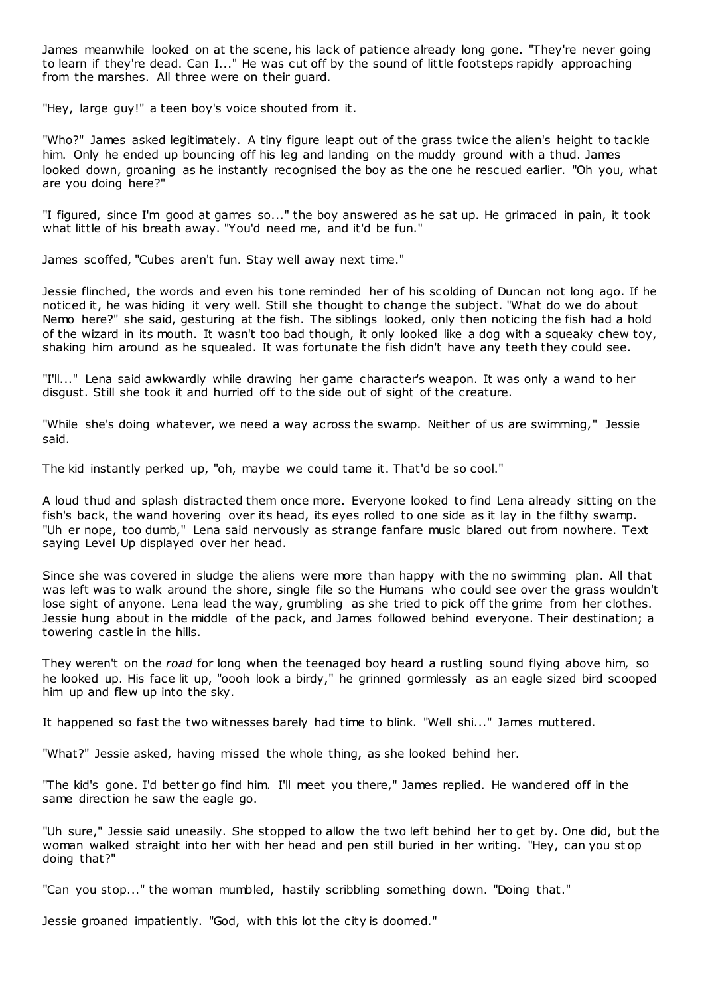James meanwhile looked on at the scene, his lack of patience already long gone. "They're never going to learn if they're dead. Can I..." He was cut off by the sound of little footsteps rapidly approaching from the marshes. All three were on their guard.

"Hey, large guy!" a teen boy's voice shouted from it.

"Who?" James asked legitimately. A tiny figure leapt out of the grass twice the alien's height to tackle him. Only he ended up bouncing off his leg and landing on the muddy ground with a thud. James looked down, groaning as he instantly recognised the boy as the one he rescued earlier. "Oh you, what are you doing here?"

"I figured, since I'm good at games so..." the boy answered as he sat up. He grimaced in pain, it took what little of his breath away. "You'd need me, and it'd be fun."

James scoffed, "Cubes aren't fun. Stay well away next time."

Jessie flinched, the words and even his tone reminded her of his scolding of Duncan not long ago. If he noticed it, he was hiding it very well. Still she thought to change the subject. "What do we do about Nemo here?" she said, gesturing at the fish. The siblings looked, only then noticing the fish had a hold of the wizard in its mouth. It wasn't too bad though, it only looked like a dog with a squeaky chew toy, shaking him around as he squealed. It was fortunate the fish didn't have any teeth they could see.

"I'll..." Lena said awkwardly while drawing her game character's weapon. It was only a wand to her disgust. Still she took it and hurried off to the side out of sight of the creature.

"While she's doing whatever, we need a way across the swamp. Neither of us are swimming," Jessie said.

The kid instantly perked up, "oh, maybe we could tame it. That'd be so cool."

A loud thud and splash distracted them once more. Everyone looked to find Lena already sitting on the fish's back, the wand hovering over its head, its eyes rolled to one side as it lay in the filthy swamp. "Uh er nope, too dumb," Lena said nervously as strange fanfare music blared out from nowhere. Text saying Level Up displayed over her head.

Since she was covered in sludge the aliens were more than happy with the no swimming plan. All that was left was to walk around the shore, single file so the Humans who could see over the grass wouldn't lose sight of anyone. Lena lead the way, grumbling as she tried to pick off the grime from her clothes. Jessie hung about in the middle of the pack, and James followed behind everyone. Their destination; a towering castle in the hills.

They weren't on the *road* for long when the teenaged boy heard a rustling sound flying above him, so he looked up. His face lit up, "oooh look a birdy," he grinned gormlessly as an eagle sized bird scooped him up and flew up into the sky.

It happened so fast the two witnesses barely had time to blink. "Well shi..." James muttered.

"What?" Jessie asked, having missed the whole thing, as she looked behind her.

"The kid's gone. I'd better go find him. I'll meet you there," James replied. He wandered off in the same direction he saw the eagle go.

"Uh sure," Jessie said uneasily. She stopped to allow the two left behind her to get by. One did, but the woman walked straight into her with her head and pen still buried in her writing. "Hey, can you st op doing that?"

"Can you stop..." the woman mumbled, hastily scribbling something down. "Doing that."

Jessie groaned impatiently. "God, with this lot the city is doomed."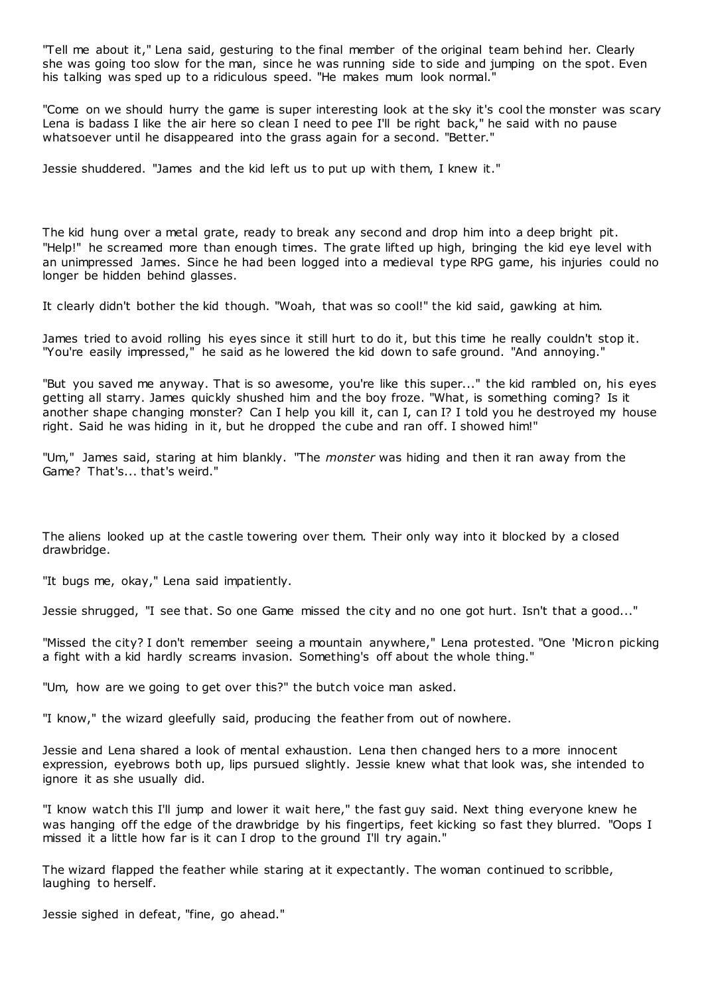"Tell me about it," Lena said, gesturing to the final member of the original team behind her. Clearly she was going too slow for the man, since he was running side to side and jumping on the spot. Even his talking was sped up to a ridiculous speed. "He makes mum look normal."

"Come on we should hurry the game is super interesting look at the sky it's cool the monster was scary Lena is badass I like the air here so clean I need to pee I'll be right back," he said with no pause whatsoever until he disappeared into the grass again for a second. "Better."

Jessie shuddered. "James and the kid left us to put up with them, I knew it."

The kid hung over a metal grate, ready to break any second and drop him into a deep bright pit. "Help!" he screamed more than enough times. The grate lifted up high, bringing the kid eye level with an unimpressed James. Since he had been logged into a medieval type RPG game, his injuries could no longer be hidden behind glasses.

It clearly didn't bother the kid though. "Woah, that was so cool!" the kid said, gawking at him.

James tried to avoid rolling his eyes since it still hurt to do it, but this time he really couldn't stop it. "You're easily impressed," he said as he lowered the kid down to safe ground. "And annoying."

"But you saved me anyway. That is so awesome, you're like this super..." the kid rambled on, his eyes getting all starry. James quickly shushed him and the boy froze. "What, is something coming? Is it another shape changing monster? Can I help you kill it, can I, can I? I told you he destroyed my house right. Said he was hiding in it, but he dropped the cube and ran off. I showed him!"

"Um," James said, staring at him blankly. "The *monster* was hiding and then it ran away from the Game? That's... that's weird."

The aliens looked up at the castle towering over them. Their only way into it blocked by a closed drawbridge.

"It bugs me, okay," Lena said impatiently.

Jessie shrugged, "I see that. So one Game missed the city and no one got hurt. Isn't that a good..."

"Missed the city? I don't remember seeing a mountain anywhere," Lena protested. "One 'Micron picking a fight with a kid hardly screams invasion. Something's off about the whole thing."

"Um, how are we going to get over this?" the butch voice man asked.

"I know," the wizard gleefully said, producing the feather from out of nowhere.

Jessie and Lena shared a look of mental exhaustion. Lena then changed hers to a more innocent expression, eyebrows both up, lips pursued slightly. Jessie knew what that look was, she intended to ignore it as she usually did.

"I know watch this I'll jump and lower it wait here," the fast guy said. Next thing everyone knew he was hanging off the edge of the drawbridge by his fingertips, feet kicking so fast they blurred. "Oops I missed it a little how far is it can I drop to the ground I'll try again."

The wizard flapped the feather while staring at it expectantly. The woman continued to scribble, laughing to herself.

Jessie sighed in defeat, "fine, go ahead."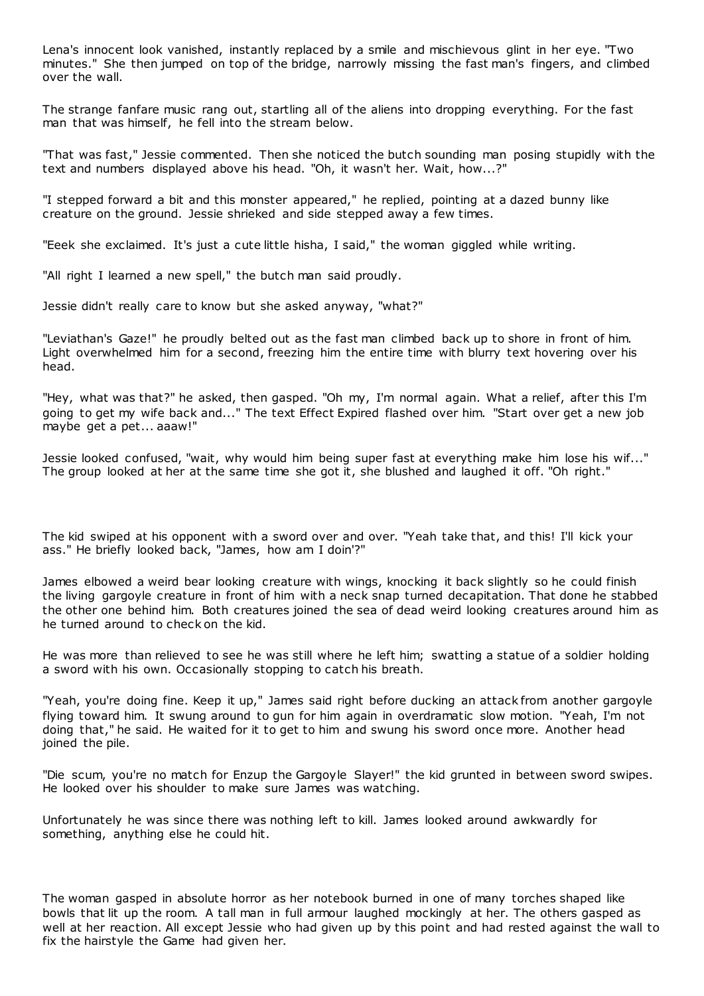Lena's innocent look vanished, instantly replaced by a smile and mischievous glint in her eye. "Two minutes." She then jumped on top of the bridge, narrowly missing the fast man's fingers, and climbed over the wall.

The strange fanfare music rang out, startling all of the aliens into dropping everything. For the fast man that was himself, he fell into the stream below.

"That was fast," Jessie commented. Then she noticed the butch sounding man posing stupidly with the text and numbers displayed above his head. "Oh, it wasn't her. Wait, how...?"

"I stepped forward a bit and this monster appeared," he replied, pointing at a dazed bunny like creature on the ground. Jessie shrieked and side stepped away a few times.

"Eeek she exclaimed. It's just a cute little hisha, I said," the woman giggled while writing.

"All right I learned a new spell," the butch man said proudly.

Jessie didn't really care to know but she asked anyway, "what?"

"Leviathan's Gaze!" he proudly belted out as the fast man climbed back up to shore in front of him. Light overwhelmed him for a second, freezing him the entire time with blurry text hovering over his head.

"Hey, what was that?" he asked, then gasped. "Oh my, I'm normal again. What a relief, after this I'm going to get my wife back and..." The text Effect Expired flashed over him. "Start over get a new job maybe get a pet... aaaw!"

Jessie looked confused, "wait, why would him being super fast at everything make him lose his wif..." The group looked at her at the same time she got it, she blushed and laughed it off. "Oh right."

The kid swiped at his opponent with a sword over and over. "Yeah take that, and this! I'll kick your ass." He briefly looked back, "James, how am I doin'?"

James elbowed a weird bear looking creature with wings, knocking it back slightly so he could finish the living gargoyle creature in front of him with a neck snap turned decapitation. That done he stabbed the other one behind him. Both creatures joined the sea of dead weird looking creatures around him as he turned around to check on the kid.

He was more than relieved to see he was still where he left him; swatting a statue of a soldier holding a sword with his own. Occasionally stopping to catch his breath.

"Yeah, you're doing fine. Keep it up," James said right before ducking an attack from another gargoyle flying toward him. It swung around to gun for him again in overdramatic slow motion. "Yeah, I'm not doing that," he said. He waited for it to get to him and swung his sword once more. Another head joined the pile.

"Die scum, you're no match for Enzup the Gargoyle Slayer!" the kid grunted in between sword swipes. He looked over his shoulder to make sure James was watching.

Unfortunately he was since there was nothing left to kill. James looked around awkwardly for something, anything else he could hit.

The woman gasped in absolute horror as her notebook burned in one of many torches shaped like bowls that lit up the room. A tall man in full armour laughed mockingly at her. The others gasped as well at her reaction. All except Jessie who had given up by this point and had rested against the wall to fix the hairstyle the Game had given her.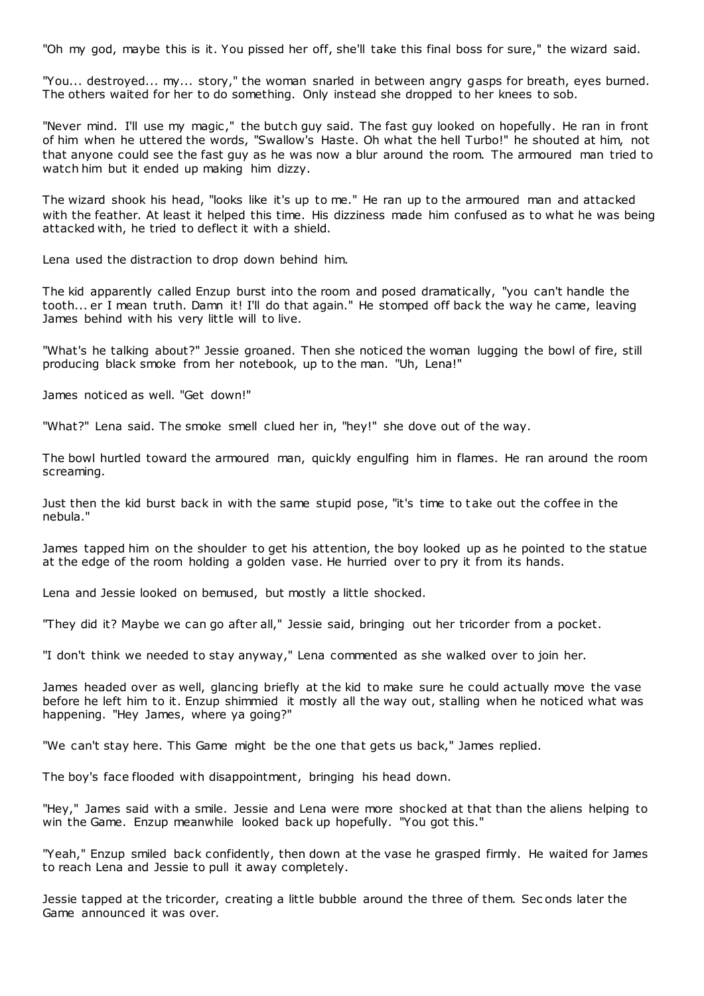"Oh my god, maybe this is it. You pissed her off, she'll take this final boss for sure," the wizard said.

"You... destroyed... my... story," the woman snarled in between angry gasps for breath, eyes burned. The others waited for her to do something. Only instead she dropped to her knees to sob.

"Never mind. I'll use my magic," the butch guy said. The fast guy looked on hopefully. He ran in front of him when he uttered the words, "Swallow's Haste. Oh what the hell Turbo!" he shouted at him, not that anyone could see the fast guy as he was now a blur around the room. The armoured man tried to watch him but it ended up making him dizzy.

The wizard shook his head, "looks like it's up to me." He ran up to the armoured man and attacked with the feather. At least it helped this time. His dizziness made him confused as to what he was being attacked with, he tried to deflect it with a shield.

Lena used the distraction to drop down behind him.

The kid apparently called Enzup burst into the room and posed dramatically, "you can't handle the tooth... er I mean truth. Damn it! I'll do that again." He stomped off back the way he came, leaving James behind with his very little will to live.

"What's he talking about?" Jessie groaned. Then she noticed the woman lugging the bowl of fire, still producing black smoke from her notebook, up to the man. "Uh, Lena!"

James noticed as well. "Get down!"

"What?" Lena said. The smoke smell clued her in, "hey!" she dove out of the way.

The bowl hurtled toward the armoured man, quickly engulfing him in flames. He ran around the room screaming.

Just then the kid burst back in with the same stupid pose, "it's time to t ake out the coffee in the nebula."

James tapped him on the shoulder to get his attention, the boy looked up as he pointed to the statue at the edge of the room holding a golden vase. He hurried over to pry it from its hands.

Lena and Jessie looked on bemused, but mostly a little shocked.

"They did it? Maybe we can go after all," Jessie said, bringing out her tricorder from a pocket.

"I don't think we needed to stay anyway," Lena commented as she walked over to join her.

James headed over as well, glancing briefly at the kid to make sure he could actually move the vase before he left him to it. Enzup shimmied it mostly all the way out, stalling when he noticed what was happening. "Hey James, where ya going?"

"We can't stay here. This Game might be the one that gets us back," James replied.

The boy's face flooded with disappointment, bringing his head down.

"Hey," James said with a smile. Jessie and Lena were more shocked at that than the aliens helping to win the Game. Enzup meanwhile looked back up hopefully. "You got this."

"Yeah," Enzup smiled back confidently, then down at the vase he grasped firmly. He waited for James to reach Lena and Jessie to pull it away completely.

Jessie tapped at the tricorder, creating a little bubble around the three of them. Sec onds later the Game announced it was over.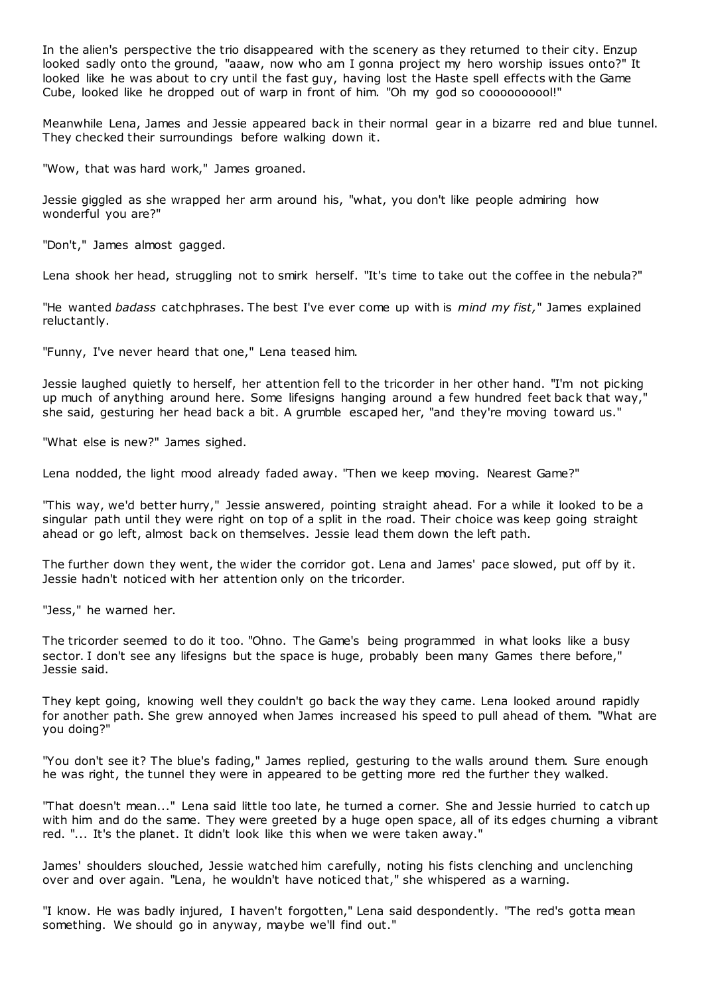In the alien's perspective the trio disappeared with the scenery as they returned to their city. Enzup looked sadly onto the ground, "aaaw, now who am I gonna project my hero worship issues onto?" It looked like he was about to cry until the fast guy, having lost the Haste spell effects with the Game Cube, looked like he dropped out of warp in front of him. "Oh my god so coooooooool!"

Meanwhile Lena, James and Jessie appeared back in their normal gear in a bizarre red and blue tunnel. They checked their surroundings before walking down it.

"Wow, that was hard work," James groaned.

Jessie giggled as she wrapped her arm around his, "what, you don't like people admiring how wonderful you are?"

"Don't," James almost gagged.

Lena shook her head, struggling not to smirk herself. "It's time to take out the coffee in the nebula?"

"He wanted *badass* catchphrases. The best I've ever come up with is *mind my fist,*" James explained reluctantly.

"Funny, I've never heard that one," Lena teased him.

Jessie laughed quietly to herself, her attention fell to the tricorder in her other hand. "I'm not picking up much of anything around here. Some lifesigns hanging around a few hundred feet back that way," she said, gesturing her head back a bit. A grumble escaped her, "and they're moving toward us."

"What else is new?" James sighed.

Lena nodded, the light mood already faded away. "Then we keep moving. Nearest Game?"

"This way, we'd better hurry," Jessie answered, pointing straight ahead. For a while it looked to be a singular path until they were right on top of a split in the road. Their choice was keep going straight ahead or go left, almost back on themselves. Jessie lead them down the left path.

The further down they went, the wider the corridor got. Lena and James' pace slowed, put off by it. Jessie hadn't noticed with her attention only on the tricorder.

"Jess," he warned her.

The tricorder seemed to do it too. "Ohno. The Game's being programmed in what looks like a busy sector. I don't see any lifesigns but the space is huge, probably been many Games there before," Jessie said.

They kept going, knowing well they couldn't go back the way they came. Lena looked around rapidly for another path. She grew annoyed when James increased his speed to pull ahead of them. "What are you doing?"

"You don't see it? The blue's fading," James replied, gesturing to the walls around them. Sure enough he was right, the tunnel they were in appeared to be getting more red the further they walked.

"That doesn't mean..." Lena said little too late, he turned a corner. She and Jessie hurried to catch up with him and do the same. They were greeted by a huge open space, all of its edges churning a vibrant red. "... It's the planet. It didn't look like this when we were taken away."

James' shoulders slouched, Jessie watched him carefully, noting his fists clenching and unclenching over and over again. "Lena, he wouldn't have noticed that," she whispered as a warning.

"I know. He was badly injured, I haven't forgotten," Lena said despondently. "The red's gotta mean something. We should go in anyway, maybe we'll find out."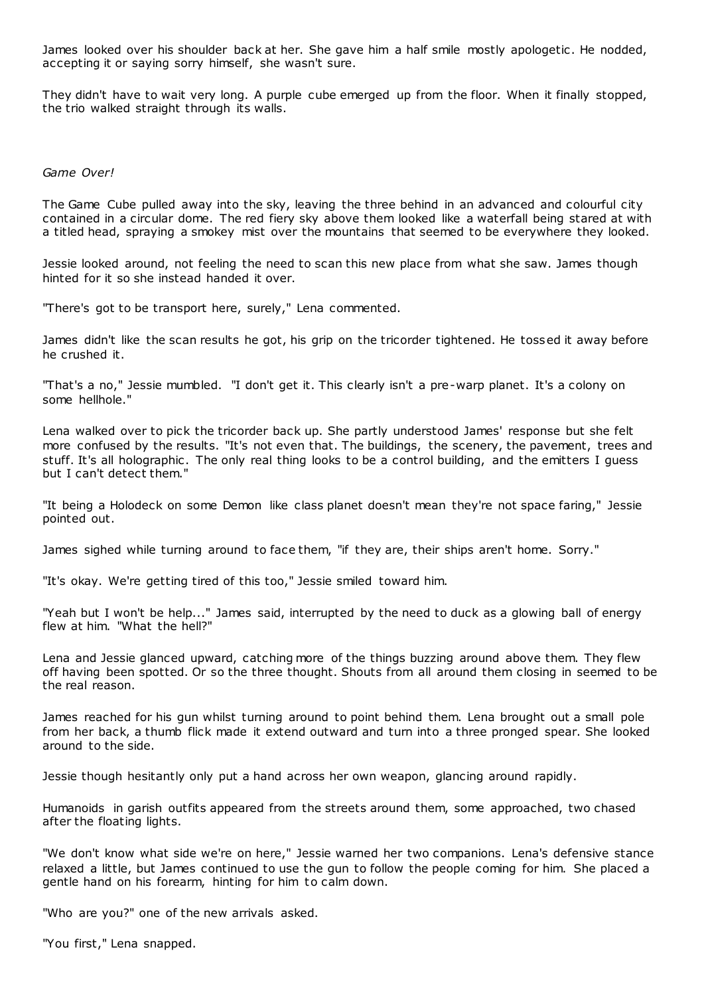James looked over his shoulder back at her. She gave him a half smile mostly apologetic. He nodded, accepting it or saying sorry himself, she wasn't sure.

They didn't have to wait very long. A purple cube emerged up from the floor. When it finally stopped, the trio walked straight through its walls.

## *Game Over!*

The Game Cube pulled away into the sky, leaving the three behind in an advanced and colourful city contained in a circular dome. The red fiery sky above them looked like a waterfall being stared at with a titled head, spraying a smokey mist over the mountains that seemed to be everywhere they looked.

Jessie looked around, not feeling the need to scan this new place from what she saw. James though hinted for it so she instead handed it over.

"There's got to be transport here, surely," Lena commented.

James didn't like the scan results he got, his grip on the tricorder tightened. He tossed it away before he crushed it.

"That's a no," Jessie mumbled. "I don't get it. This clearly isn't a pre-warp planet. It's a colony on some hellhole."

Lena walked over to pick the tricorder back up. She partly understood James' response but she felt more confused by the results. "It's not even that. The buildings, the scenery, the pavement, trees and stuff. It's all holographic. The only real thing looks to be a control building, and the emitters I guess but I can't detect them."

"It being a Holodeck on some Demon like class planet doesn't mean they're not space faring," Jessie pointed out.

James sighed while turning around to face them, "if they are, their ships aren't home. Sorry."

"It's okay. We're getting tired of this too," Jessie smiled toward him.

"Yeah but I won't be help..." James said, interrupted by the need to duck as a glowing ball of energy flew at him. "What the hell?"

Lena and Jessie glanced upward, catching more of the things buzzing around above them. They flew off having been spotted. Or so the three thought. Shouts from all around them closing in seemed to be the real reason.

James reached for his gun whilst turning around to point behind them. Lena brought out a small pole from her back, a thumb flick made it extend outward and turn into a three pronged spear. She looked around to the side.

Jessie though hesitantly only put a hand across her own weapon, glancing around rapidly.

Humanoids in garish outfits appeared from the streets around them, some approached, two chased after the floating lights.

"We don't know what side we're on here," Jessie warned her two companions. Lena's defensive stance relaxed a little, but James continued to use the gun to follow the people coming for him. She placed a gentle hand on his forearm, hinting for him to calm down.

"Who are you?" one of the new arrivals asked.

"You first," Lena snapped.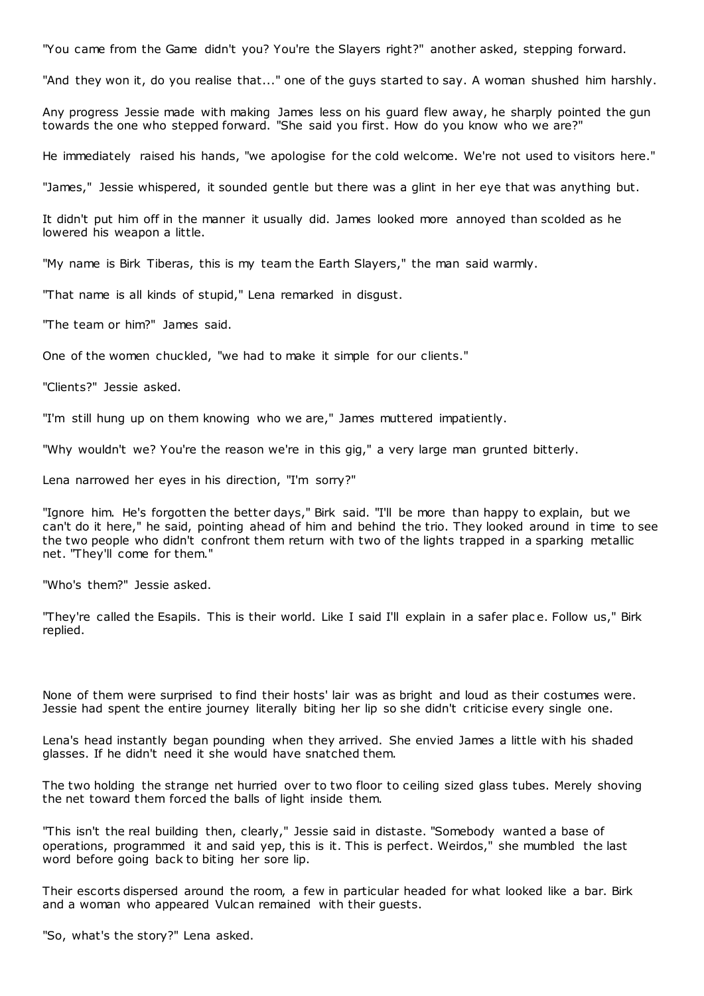"You came from the Game didn't you? You're the Slayers right?" another asked, stepping forward.

"And they won it, do you realise that..." one of the guys started to say. A woman shushed him harshly.

Any progress Jessie made with making James less on his guard flew away, he sharply pointed the gun towards the one who stepped forward. "She said you first. How do you know who we are?"

He immediately raised his hands, "we apologise for the cold welcome. We're not used to visitors here."

"James," Jessie whispered, it sounded gentle but there was a glint in her eye that was anything but.

It didn't put him off in the manner it usually did. James looked more annoyed than scolded as he lowered his weapon a little.

"My name is Birk Tiberas, this is my team the Earth Slayers," the man said warmly.

"That name is all kinds of stupid," Lena remarked in disgust.

"The team or him?" James said.

One of the women chuckled, "we had to make it simple for our clients."

"Clients?" Jessie asked.

"I'm still hung up on them knowing who we are," James muttered impatiently.

"Why wouldn't we? You're the reason we're in this gig," a very large man grunted bitterly.

Lena narrowed her eyes in his direction, "I'm sorry?"

"Ignore him. He's forgotten the better days," Birk said. "I'll be more than happy to explain, but we can't do it here," he said, pointing ahead of him and behind the trio. They looked around in time to see the two people who didn't confront them return with two of the lights trapped in a sparking metallic net. "They'll come for them."

"Who's them?" Jessie asked.

"They're called the Esapils. This is their world. Like I said I'll explain in a safer plac e. Follow us," Birk replied.

None of them were surprised to find their hosts' lair was as bright and loud as their costumes were. Jessie had spent the entire journey literally biting her lip so she didn't criticise every single one.

Lena's head instantly began pounding when they arrived. She envied James a little with his shaded glasses. If he didn't need it she would have snatched them.

The two holding the strange net hurried over to two floor to ceiling sized glass tubes. Merely shoving the net toward them forced the balls of light inside them.

"This isn't the real building then, clearly," Jessie said in distaste. "Somebody wanted a base of operations, programmed it and said yep, this is it. This is perfect. Weirdos," she mumbled the last word before going back to biting her sore lip.

Their escorts dispersed around the room, a few in particular headed for what looked like a bar. Birk and a woman who appeared Vulcan remained with their guests.

"So, what's the story?" Lena asked.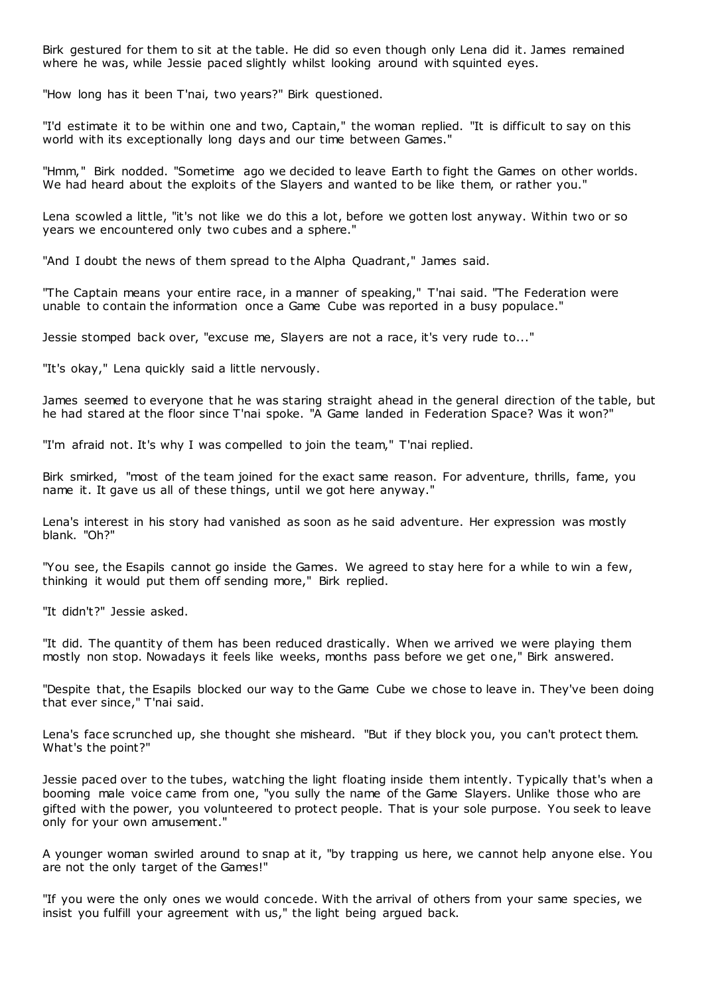Birk gestured for them to sit at the table. He did so even though only Lena did it. James remained where he was, while Jessie paced slightly whilst looking around with squinted eyes.

"How long has it been T'nai, two years?" Birk questioned.

"I'd estimate it to be within one and two, Captain," the woman replied. "It is difficult to say on this world with its exceptionally long days and our time between Games."

"Hmm," Birk nodded. "Sometime ago we decided to leave Earth to fight the Games on other worlds. We had heard about the exploits of the Slayers and wanted to be like them, or rather you."

Lena scowled a little, "it's not like we do this a lot, before we gotten lost anyway. Within two or so years we encountered only two cubes and a sphere."

"And I doubt the news of them spread to the Alpha Quadrant," James said.

"The Captain means your entire race, in a manner of speaking," T'nai said. "The Federation were unable to contain the information once a Game Cube was reported in a busy populace."

Jessie stomped back over, "excuse me, Slayers are not a race, it's very rude to..."

"It's okay," Lena quickly said a little nervously.

James seemed to everyone that he was staring straight ahead in the general direction of the table, but he had stared at the floor since T'nai spoke. "A Game landed in Federation Space? Was it won?"

"I'm afraid not. It's why I was compelled to join the team," T'nai replied.

Birk smirked, "most of the team joined for the exact same reason. For adventure, thrills, fame, you name it. It gave us all of these things, until we got here anyway."

Lena's interest in his story had vanished as soon as he said adventure. Her expression was mostly blank. "Oh?"

"You see, the Esapils cannot go inside the Games. We agreed to stay here for a while to win a few, thinking it would put them off sending more," Birk replied.

"It didn't?" Jessie asked.

"It did. The quantity of them has been reduced drastically. When we arrived we were playing them mostly non stop. Nowadays it feels like weeks, months pass before we get one," Birk answered.

"Despite that, the Esapils blocked our way to the Game Cube we chose to leave in. They've been doing that ever since," T'nai said.

Lena's face scrunched up, she thought she misheard. "But if they block you, you can't protect them. What's the point?"

Jessie paced over to the tubes, watching the light floating inside them intently. Typically that's when a booming male voice came from one, "you sully the name of the Game Slayers. Unlike those who are gifted with the power, you volunteered to protect people. That is your sole purpose. You seek to leave only for your own amusement."

A younger woman swirled around to snap at it, "by trapping us here, we cannot help anyone else. You are not the only target of the Games!"

"If you were the only ones we would concede. With the arrival of others from your same species, we insist you fulfill your agreement with us," the light being argued back.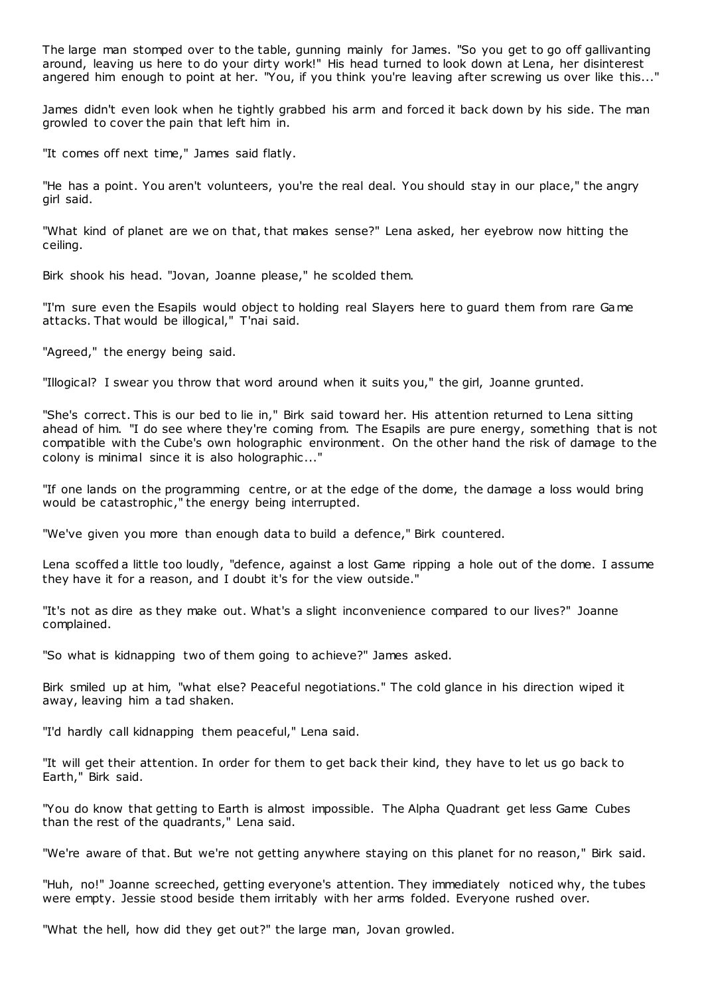The large man stomped over to the table, gunning mainly for James. "So you get to go off gallivanting around, leaving us here to do your dirty work!" His head turned to look down at Lena, her disinterest angered him enough to point at her. "You, if you think you're leaving after screwing us over like this..."

James didn't even look when he tightly grabbed his arm and forced it back down by his side. The man growled to cover the pain that left him in.

"It comes off next time," James said flatly.

"He has a point. You aren't volunteers, you're the real deal. You should stay in our place," the angry girl said.

"What kind of planet are we on that, that makes sense?" Lena asked, her eyebrow now hitting the ceiling.

Birk shook his head. "Jovan, Joanne please," he scolded them.

"I'm sure even the Esapils would object to holding real Slayers here to guard them from rare Game attacks. That would be illogical," T'nai said.

"Agreed," the energy being said.

"Illogical? I swear you throw that word around when it suits you," the girl, Joanne grunted.

"She's correct. This is our bed to lie in," Birk said toward her. His attention returned to Lena sitting ahead of him. "I do see where they're coming from. The Esapils are pure energy, something that is not compatible with the Cube's own holographic environment. On the other hand the risk of damage to the colony is minimal since it is also holographic ..."

"If one lands on the programming centre, or at the edge of the dome, the damage a loss would bring would be catastrophic ," the energy being interrupted.

"We've given you more than enough data to build a defence," Birk countered.

Lena scoffed a little too loudly, "defence, against a lost Game ripping a hole out of the dome. I assume they have it for a reason, and I doubt it's for the view outside."

"It's not as dire as they make out. What's a slight inconvenience compared to our lives?" Joanne complained.

"So what is kidnapping two of them going to achieve?" James asked.

Birk smiled up at him, "what else? Peaceful negotiations." The cold glance in his direction wiped it away, leaving him a tad shaken.

"I'd hardly call kidnapping them peaceful," Lena said.

"It will get their attention. In order for them to get back their kind, they have to let us go back to Earth," Birk said.

"You do know that getting to Earth is almost impossible. The Alpha Quadrant get less Game Cubes than the rest of the quadrants," Lena said.

"We're aware of that. But we're not getting anywhere staying on this planet for no reason," Birk said.

"Huh, no!" Joanne screeched, getting everyone's attention. They immediately noticed why, the tubes were empty. Jessie stood beside them irritably with her arms folded. Everyone rushed over.

"What the hell, how did they get out?" the large man, Jovan growled.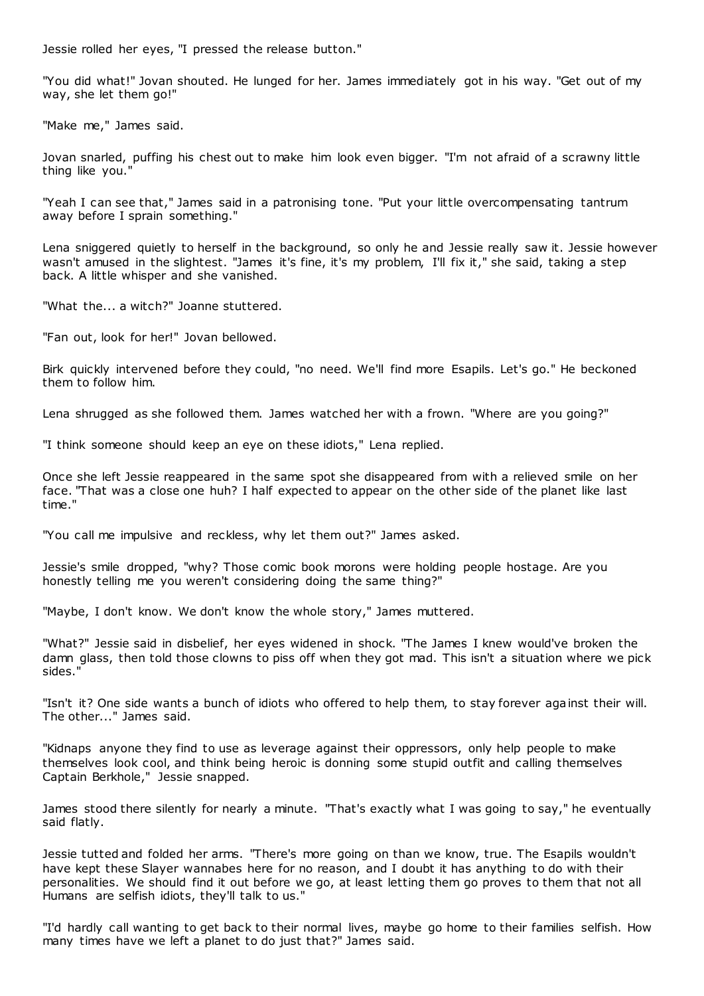Jessie rolled her eyes, "I pressed the release button."

"You did what!" Jovan shouted. He lunged for her. James immediately got in his way. "Get out of my way, she let them go!"

"Make me," James said.

Jovan snarled, puffing his chest out to make him look even bigger. "I'm not afraid of a scrawny little thing like you."

"Yeah I can see that," James said in a patronising tone. "Put your little overcompensating tantrum away before I sprain something."

Lena sniggered quietly to herself in the background, so only he and Jessie really saw it. Jessie however wasn't amused in the slightest. "James it's fine, it's my problem, I'll fix it," she said, taking a step back. A little whisper and she vanished.

"What the... a witch?" Joanne stuttered.

"Fan out, look for her!" Jovan bellowed.

Birk quickly intervened before they could, "no need. We'll find more Esapils. Let's go." He beckoned them to follow him.

Lena shrugged as she followed them. James watched her with a frown. "Where are you going?"

"I think someone should keep an eye on these idiots," Lena replied.

Once she left Jessie reappeared in the same spot she disappeared from with a relieved smile on her face. "That was a close one huh? I half expected to appear on the other side of the planet like last time."

"You call me impulsive and reckless, why let them out?" James asked.

Jessie's smile dropped, "why? Those comic book morons were holding people hostage. Are you honestly telling me you weren't considering doing the same thing?"

"Maybe, I don't know. We don't know the whole story," James muttered.

"What?" Jessie said in disbelief, her eyes widened in shock. "The James I knew would've broken the damn glass, then told those clowns to piss off when they got mad. This isn't a situation where we pick sides."

"Isn't it? One side wants a bunch of idiots who offered to help them, to stay forever against their will. The other..." James said.

"Kidnaps anyone they find to use as leverage against their oppressors, only help people to make themselves look cool, and think being heroic is donning some stupid outfit and calling themselves Captain Berkhole," Jessie snapped.

James stood there silently for nearly a minute. "That's exactly what I was going to say," he eventually said flatly.

Jessie tutted and folded her arms. "There's more going on than we know, true. The Esapils wouldn't have kept these Slayer wannabes here for no reason, and I doubt it has anything to do with their personalities. We should find it out before we go, at least letting them go proves to them that not all Humans are selfish idiots, they'll talk to us."

"I'd hardly call wanting to get back to their normal lives, maybe go home to their families selfish. How many times have we left a planet to do just that?" James said.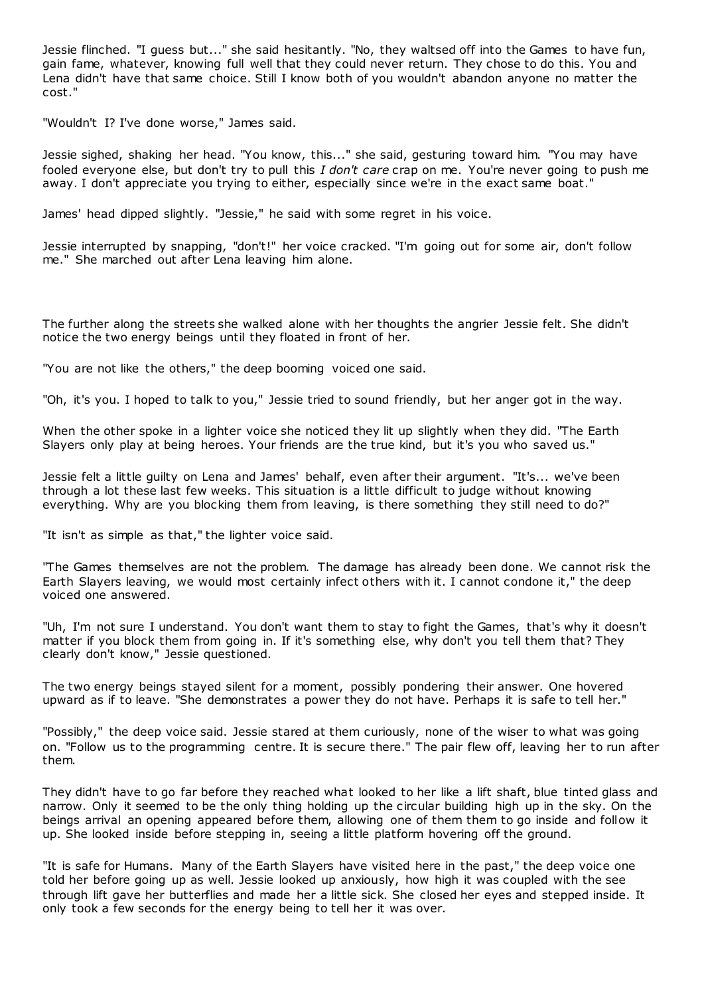Jessie flinched. "I guess but..." she said hesitantly. "No, they waltsed off into the Games to have fun, gain fame, whatever, knowing full well that they could never return. They chose to do this. You and Lena didn't have that same choice. Still I know both of you wouldn't abandon anyone no matter the cost."

"Wouldn't I? I've done worse," James said.

Jessie sighed, shaking her head. "You know, this..." she said, gesturing toward him. "You may have fooled everyone else, but don't try to pull this *I don't care* crap on me. You're never going to push me away. I don't appreciate you trying to either, especially since we're in the exact same boat."

James' head dipped slightly. "Jessie," he said with some regret in his voice.

Jessie interrupted by snapping, "don't!" her voice cracked. "I'm going out for some air, don't follow me." She marched out after Lena leaving him alone.

The further along the streets she walked alone with her thoughts the angrier Jessie felt. She didn't notice the two energy beings until they floated in front of her.

"You are not like the others," the deep booming voiced one said.

"Oh, it's you. I hoped to talk to you," Jessie tried to sound friendly, but her anger got in the way.

When the other spoke in a lighter voice she noticed they lit up slightly when they did. "The Earth Slayers only play at being heroes. Your friends are the true kind, but it's you who saved us."

Jessie felt a little guilty on Lena and James' behalf, even after their argument. "It's... we've been through a lot these last few weeks. This situation is a little difficult to judge without knowing everything. Why are you blocking them from leaving, is there something they still need to do?"

"It isn't as simple as that," the lighter voice said.

"The Games themselves are not the problem. The damage has already been done. We cannot risk the Earth Slayers leaving, we would most certainly infect others with it. I cannot condone it," the deep voiced one answered.

"Uh, I'm not sure I understand. You don't want them to stay to fight the Games, that's why it doesn't matter if you block them from going in. If it's something else, why don't you tell them that? They clearly don't know," Jessie questioned.

The two energy beings stayed silent for a moment, possibly pondering their answer. One hovered upward as if to leave. "She demonstrates a power they do not have. Perhaps it is safe to tell her."

"Possibly," the deep voice said. Jessie stared at them curiously, none of the wiser to what was going on. "Follow us to the programming centre. It is secure there." The pair flew off, leaving her to run after them.

They didn't have to go far before they reached what looked to her like a lift shaft, blue tinted glass and narrow. Only it seemed to be the only thing holding up the circular building high up in the sky. On the beings arrival an opening appeared before them, allowing one of them them to go inside and follow it up. She looked inside before stepping in, seeing a little platform hovering off the ground.

"It is safe for Humans. Many of the Earth Slayers have visited here in the past," the deep voice one told her before going up as well. Jessie looked up anxiously, how high it was coupled with the see through lift gave her butterflies and made her a little sick. She closed her eyes and stepped inside. It only took a few seconds for the energy being to tell her it was over.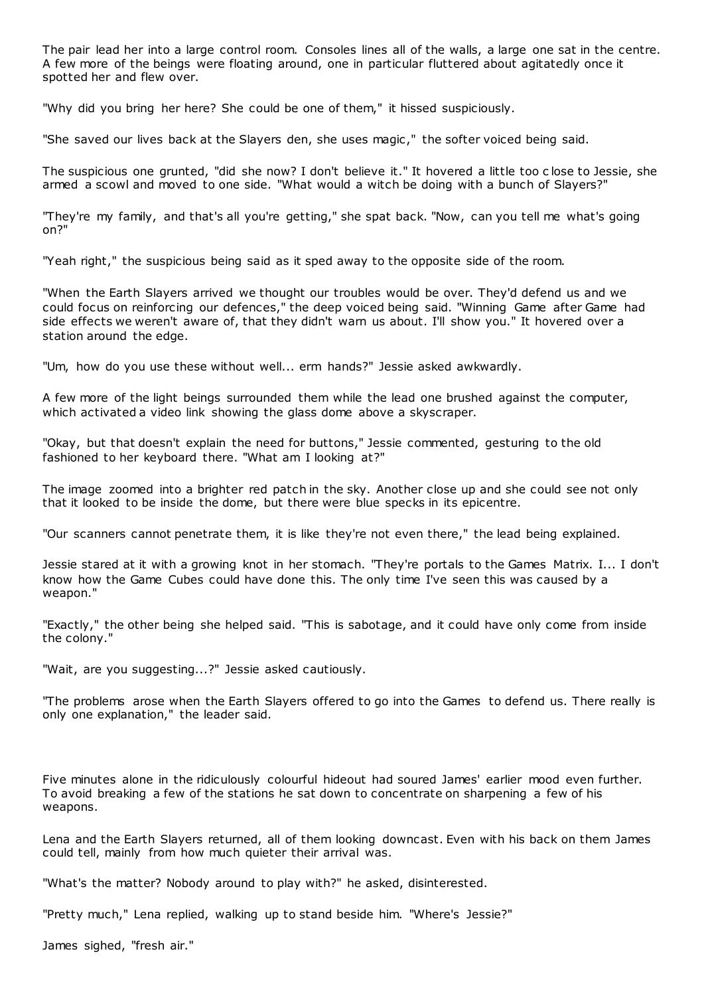The pair lead her into a large control room. Consoles lines all of the walls, a large one sat in the centre. A few more of the beings were floating around, one in particular fluttered about agitatedly once it spotted her and flew over.

"Why did you bring her here? She could be one of them," it hissed suspiciously.

"She saved our lives back at the Slayers den, she uses magic ," the softer voiced being said.

The suspicious one grunted, "did she now? I don't believe it." It hovered a little too c lose to Jessie, she armed a scowl and moved to one side. "What would a witch be doing with a bunch of Slayers?"

"They're my family, and that's all you're getting," she spat back. "Now, can you tell me what's going on?"

"Yeah right," the suspicious being said as it sped away to the opposite side of the room.

"When the Earth Slayers arrived we thought our troubles would be over. They'd defend us and we could focus on reinforcing our defences," the deep voiced being said. "Winning Game after Game had side effects we weren't aware of, that they didn't warn us about. I'll show you." It hovered over a station around the edge.

"Um, how do you use these without well... erm hands?" Jessie asked awkwardly.

A few more of the light beings surrounded them while the lead one brushed against the computer, which activated a video link showing the glass dome above a skyscraper.

"Okay, but that doesn't explain the need for buttons," Jessie commented, gesturing to the old fashioned to her keyboard there. "What am I looking at?"

The image zoomed into a brighter red patch in the sky. Another close up and she could see not only that it looked to be inside the dome, but there were blue specks in its epicentre.

"Our scanners cannot penetrate them, it is like they're not even there," the lead being explained.

Jessie stared at it with a growing knot in her stomach. "They're portals to the Games Matrix. I... I don't know how the Game Cubes could have done this. The only time I've seen this was caused by a weapon."

"Exactly," the other being she helped said. "This is sabotage, and it could have only come from inside the colony."

"Wait, are you suggesting...?" Jessie asked cautiously.

"The problems arose when the Earth Slayers offered to go into the Games to defend us. There really is only one explanation," the leader said.

Five minutes alone in the ridiculously colourful hideout had soured James' earlier mood even further. To avoid breaking a few of the stations he sat down to concentrate on sharpening a few of his weapons.

Lena and the Earth Slayers returned, all of them looking downcast. Even with his back on them James could tell, mainly from how much quieter their arrival was.

"What's the matter? Nobody around to play with?" he asked, disinterested.

"Pretty much," Lena replied, walking up to stand beside him. "Where's Jessie?"

James sighed, "fresh air."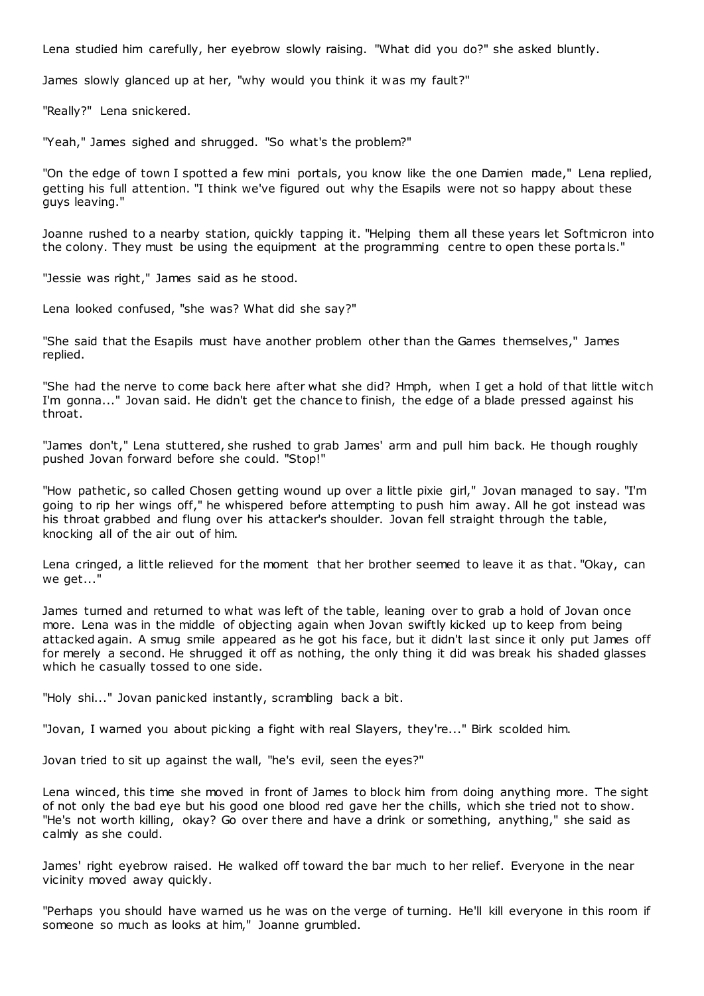Lena studied him carefully, her eyebrow slowly raising. "What did you do?" she asked bluntly.

James slowly glanced up at her, "why would you think it was my fault?"

"Really?" Lena snickered.

"Yeah," James sighed and shrugged. "So what's the problem?"

"On the edge of town I spotted a few mini portals, you know like the one Damien made," Lena replied, getting his full attention. "I think we've figured out why the Esapils were not so happy about these guys leaving."

Joanne rushed to a nearby station, quickly tapping it. "Helping them all these years let Softmicron into the colony. They must be using the equipment at the programming centre to open these portals."

"Jessie was right," James said as he stood.

Lena looked confused, "she was? What did she say?"

"She said that the Esapils must have another problem other than the Games themselves," James replied.

"She had the nerve to come back here after what she did? Hmph, when I get a hold of that little witch I'm gonna..." Jovan said. He didn't get the chance to finish, the edge of a blade pressed against his throat.

"James don't," Lena stuttered, she rushed to grab James' arm and pull him back. He though roughly pushed Jovan forward before she could. "Stop!"

"How pathetic, so called Chosen getting wound up over a little pixie girl," Jovan managed to say. "I'm going to rip her wings off," he whispered before attempting to push him away. All he got instead was his throat grabbed and flung over his attacker's shoulder. Jovan fell straight through the table, knocking all of the air out of him.

Lena cringed, a little relieved for the moment that her brother seemed to leave it as that. "Okay, can we get..."

James turned and returned to what was left of the table, leaning over to grab a hold of Jovan once more. Lena was in the middle of objecting again when Jovan swiftly kicked up to keep from being attacked again. A smug smile appeared as he got his face, but it didn't last since it only put James off for merely a second. He shrugged it off as nothing, the only thing it did was break his shaded glasses which he casually tossed to one side.

"Holy shi..." Jovan panicked instantly, scrambling back a bit.

"Jovan, I warned you about picking a fight with real Slayers, they're..." Birk scolded him.

Jovan tried to sit up against the wall, "he's evil, seen the eyes?"

Lena winced, this time she moved in front of James to block him from doing anything more. The sight of not only the bad eye but his good one blood red gave her the chills, which she tried not to show. "He's not worth killing, okay? Go over there and have a drink or something, anything," she said as calmly as she could.

James' right eyebrow raised. He walked off toward the bar much to her relief. Everyone in the near vicinity moved away quickly.

"Perhaps you should have warned us he was on the verge of turning. He'll kill everyone in this room if someone so much as looks at him," Joanne grumbled.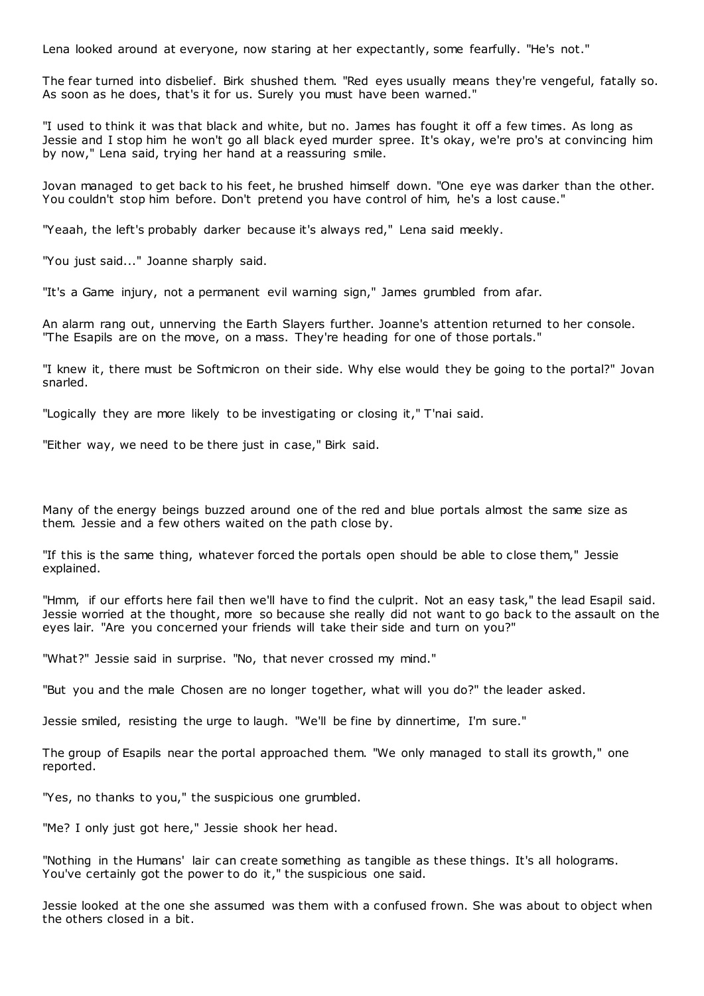Lena looked around at everyone, now staring at her expectantly, some fearfully. "He's not."

The fear turned into disbelief. Birk shushed them. "Red eyes usually means they're vengeful, fatally so. As soon as he does, that's it for us. Surely you must have been warned."

"I used to think it was that black and white, but no. James has fought it off a few times. As long as Jessie and I stop him he won't go all black eyed murder spree. It's okay, we're pro's at convincing him by now," Lena said, trying her hand at a reassuring smile.

Jovan managed to get back to his feet, he brushed himself down. "One eye was darker than the other. You couldn't stop him before. Don't pretend you have control of him, he's a lost cause."

"Yeaah, the left's probably darker because it's always red," Lena said meekly.

"You just said..." Joanne sharply said.

"It's a Game injury, not a permanent evil warning sign," James grumbled from afar.

An alarm rang out, unnerving the Earth Slayers further. Joanne's attention returned to her console. "The Esapils are on the move, on a mass. They're heading for one of those portals."

"I knew it, there must be Softmicron on their side. Why else would they be going to the portal?" Jovan snarled.

"Logically they are more likely to be investigating or closing it," T'nai said.

"Either way, we need to be there just in case," Birk said.

Many of the energy beings buzzed around one of the red and blue portals almost the same size as them. Jessie and a few others waited on the path close by.

"If this is the same thing, whatever forced the portals open should be able to close them," Jessie explained.

"Hmm, if our efforts here fail then we'll have to find the culprit. Not an easy task," the lead Esapil said. Jessie worried at the thought, more so because she really did not want to go back to the assault on the eyes lair. "Are you concerned your friends will take their side and turn on you?"

"What?" Jessie said in surprise. "No, that never crossed my mind."

"But you and the male Chosen are no longer together, what will you do?" the leader asked.

Jessie smiled, resisting the urge to laugh. "We'll be fine by dinnertime, I'm sure."

The group of Esapils near the portal approached them. "We only managed to stall its growth," one reported.

"Yes, no thanks to you," the suspicious one grumbled.

"Me? I only just got here," Jessie shook her head.

"Nothing in the Humans' lair can create something as tangible as these things. It's all holograms. You've certainly got the power to do it," the suspicious one said.

Jessie looked at the one she assumed was them with a confused frown. She was about to object when the others closed in a bit.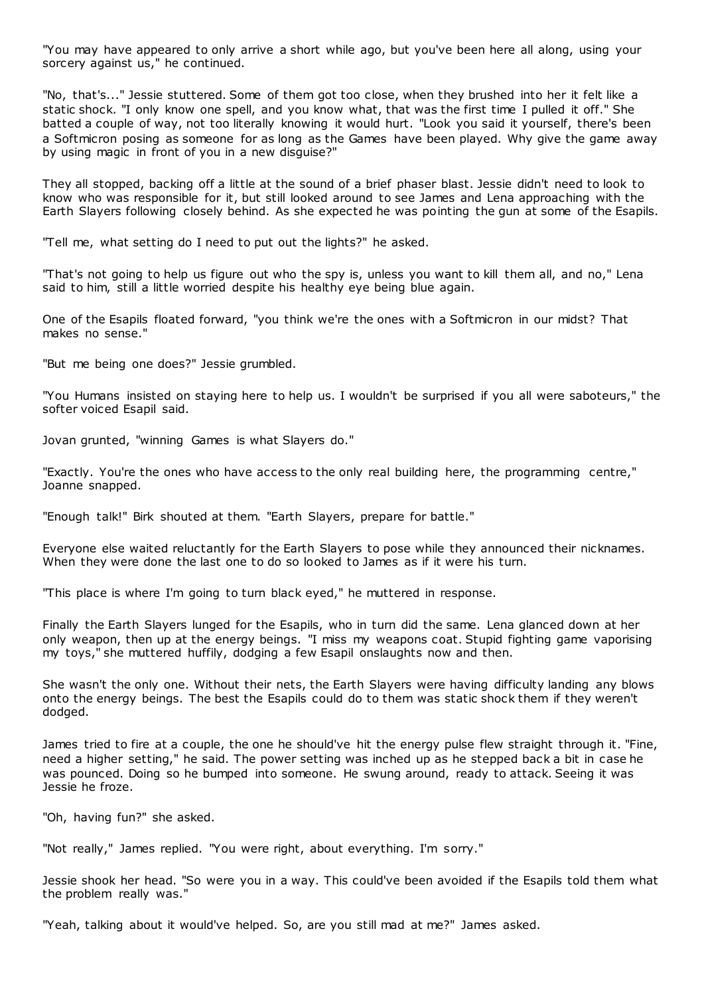"You may have appeared to only arrive a short while ago, but you've been here all along, using your sorcery against us," he continued.

"No, that's..." Jessie stuttered. Some of them got too close, when they brushed into her it felt like a static shock. "I only know one spell, and you know what, that was the first time I pulled it off." She batted a couple of way, not too literally knowing it would hurt. "Look you said it yourself, there's been a Softmicron posing as someone for as long as the Games have been played. Why give the game away by using magic in front of you in a new disguise?"

They all stopped, backing off a little at the sound of a brief phaser blast. Jessie didn't need to look to know who was responsible for it, but still looked around to see James and Lena approaching with the Earth Slayers following closely behind. As she expected he was pointing the gun at some of the Esapils.

"Tell me, what setting do I need to put out the lights?" he asked.

"That's not going to help us figure out who the spy is, unless you want to kill them all, and no," Lena said to him, still a little worried despite his healthy eye being blue again.

One of the Esapils floated forward, "you think we're the ones with a Softmicron in our midst? That makes no sense."

"But me being one does?" Jessie grumbled.

"You Humans insisted on staying here to help us. I wouldn't be surprised if you all were saboteurs," the softer voiced Esapil said.

Jovan grunted, "winning Games is what Slayers do."

"Exactly. You're the ones who have access to the only real building here, the programming centre," Joanne snapped.

"Enough talk!" Birk shouted at them. "Earth Slayers, prepare for battle."

Everyone else waited reluctantly for the Earth Slayers to pose while they announced their nicknames. When they were done the last one to do so looked to James as if it were his turn.

"This place is where I'm going to turn black eyed," he muttered in response.

Finally the Earth Slayers lunged for the Esapils, who in turn did the same. Lena glanced down at her only weapon, then up at the energy beings. "I miss my weapons coat. Stupid fighting game vaporising my toys," she muttered huffily, dodging a few Esapil onslaughts now and then.

She wasn't the only one. Without their nets, the Earth Slayers were having difficulty landing any blows onto the energy beings. The best the Esapils could do to them was static shock them if they weren't dodged.

James tried to fire at a couple, the one he should've hit the energy pulse flew straight through it. "Fine, need a higher setting," he said. The power setting was inched up as he stepped back a bit in case he was pounced. Doing so he bumped into someone. He swung around, ready to attack. Seeing it was Jessie he froze.

"Oh, having fun?" she asked.

"Not really," James replied. "You were right, about everything. I'm sorry."

Jessie shook her head. "So were you in a way. This could've been avoided if the Esapils told them what the problem really was."

"Yeah, talking about it would've helped. So, are you still mad at me?" James asked.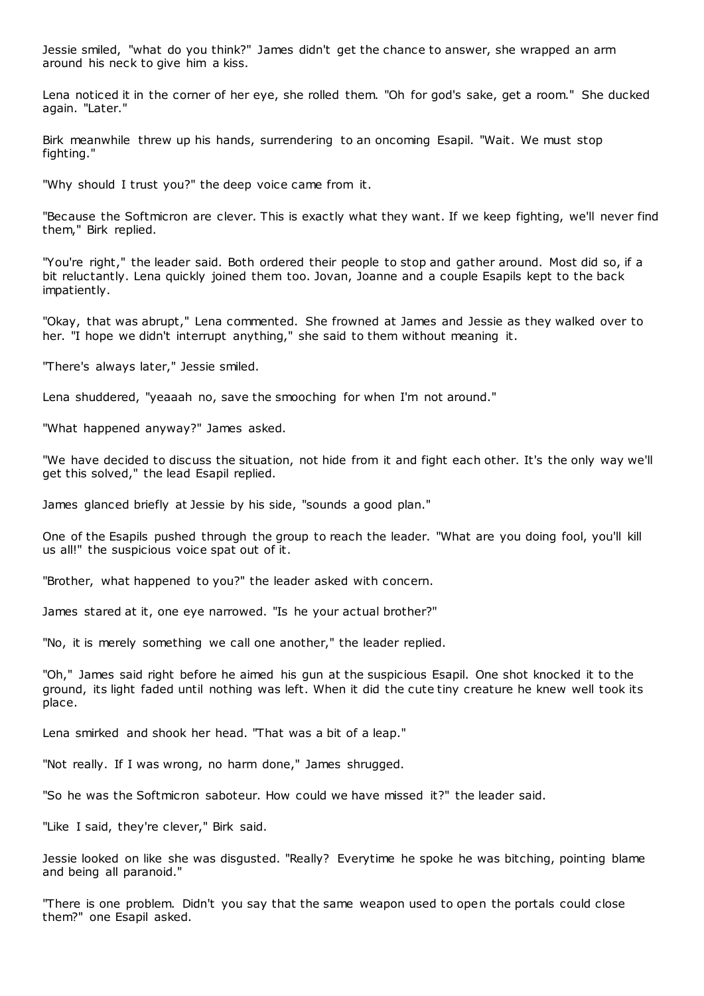Jessie smiled, "what do you think?" James didn't get the chance to answer, she wrapped an arm around his neck to give him a kiss.

Lena noticed it in the corner of her eye, she rolled them. "Oh for god's sake, get a room." She ducked again. "Later."

Birk meanwhile threw up his hands, surrendering to an oncoming Esapil. "Wait. We must stop fighting."

"Why should I trust you?" the deep voice came from it.

"Because the Softmicron are clever. This is exactly what they want. If we keep fighting, we'll never find them," Birk replied.

"You're right," the leader said. Both ordered their people to stop and gather around. Most did so, if a bit reluctantly. Lena quickly joined them too. Jovan, Joanne and a couple Esapils kept to the back impatiently.

"Okay, that was abrupt," Lena commented. She frowned at James and Jessie as they walked over to her. "I hope we didn't interrupt anything," she said to them without meaning it.

"There's always later," Jessie smiled.

Lena shuddered, "yeaaah no, save the smooching for when I'm not around."

"What happened anyway?" James asked.

"We have decided to discuss the situation, not hide from it and fight each other. It's the only way we'll get this solved," the lead Esapil replied.

James glanced briefly at Jessie by his side, "sounds a good plan."

One of the Esapils pushed through the group to reach the leader. "What are you doing fool, you'll kill us all!" the suspicious voice spat out of it.

"Brother, what happened to you?" the leader asked with concern.

James stared at it, one eye narrowed. "Is he your actual brother?"

"No, it is merely something we call one another," the leader replied.

"Oh," James said right before he aimed his gun at the suspicious Esapil. One shot knocked it to the ground, its light faded until nothing was left. When it did the cute tiny creature he knew well took its place.

Lena smirked and shook her head. "That was a bit of a leap."

"Not really. If I was wrong, no harm done," James shrugged.

"So he was the Softmicron saboteur. How could we have missed it?" the leader said.

"Like I said, they're clever," Birk said.

Jessie looked on like she was disgusted. "Really? Everytime he spoke he was bitching, pointing blame and being all paranoid."

"There is one problem. Didn't you say that the same weapon used to open the portals could close them?" one Esapil asked.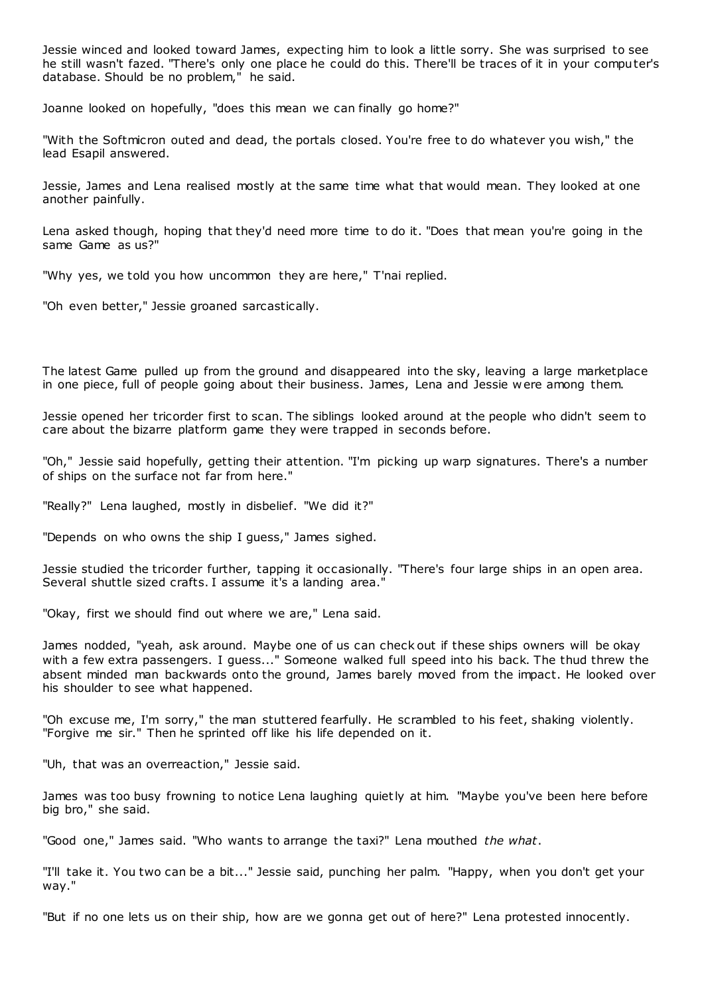Jessie winced and looked toward James, expecting him to look a little sorry. She was surprised to see he still wasn't fazed. "There's only one place he could do this. There'll be traces of it in your computer's database. Should be no problem," he said.

Joanne looked on hopefully, "does this mean we can finally go home?"

"With the Softmicron outed and dead, the portals closed. You're free to do whatever you wish," the lead Esapil answered.

Jessie, James and Lena realised mostly at the same time what that would mean. They looked at one another painfully.

Lena asked though, hoping that they'd need more time to do it. "Does that mean you're going in the same Game as us?"

"Why yes, we told you how uncommon they are here," T'nai replied.

"Oh even better," Jessie groaned sarcastically.

The latest Game pulled up from the ground and disappeared into the sky, leaving a large marketplace in one piece, full of people going about their business. James, Lena and Jessie were among them.

Jessie opened her tricorder first to scan. The siblings looked around at the people who didn't seem to care about the bizarre platform game they were trapped in seconds before.

"Oh," Jessie said hopefully, getting their attention. "I'm picking up warp signatures. There's a number of ships on the surface not far from here."

"Really?" Lena laughed, mostly in disbelief. "We did it?"

"Depends on who owns the ship I guess," James sighed.

Jessie studied the tricorder further, tapping it occasionally. "There's four large ships in an open area. Several shuttle sized crafts. I assume it's a landing area."

"Okay, first we should find out where we are," Lena said.

James nodded, "yeah, ask around. Maybe one of us can check out if these ships owners will be okay with a few extra passengers. I guess..." Someone walked full speed into his back. The thud threw the absent minded man backwards onto the ground, James barely moved from the impact. He looked over his shoulder to see what happened.

"Oh excuse me, I'm sorry," the man stuttered fearfully. He scrambled to his feet, shaking violently. "Forgive me sir." Then he sprinted off like his life depended on it.

"Uh, that was an overreaction," Jessie said.

James was too busy frowning to notice Lena laughing quietly at him. "Maybe you've been here before big bro," she said.

"Good one," James said. "Who wants to arrange the taxi?" Lena mouthed *the what*.

"I'll take it. You two can be a bit..." Jessie said, punching her palm. "Happy, when you don't get your way."

"But if no one lets us on their ship, how are we gonna get out of here?" Lena protested innocently.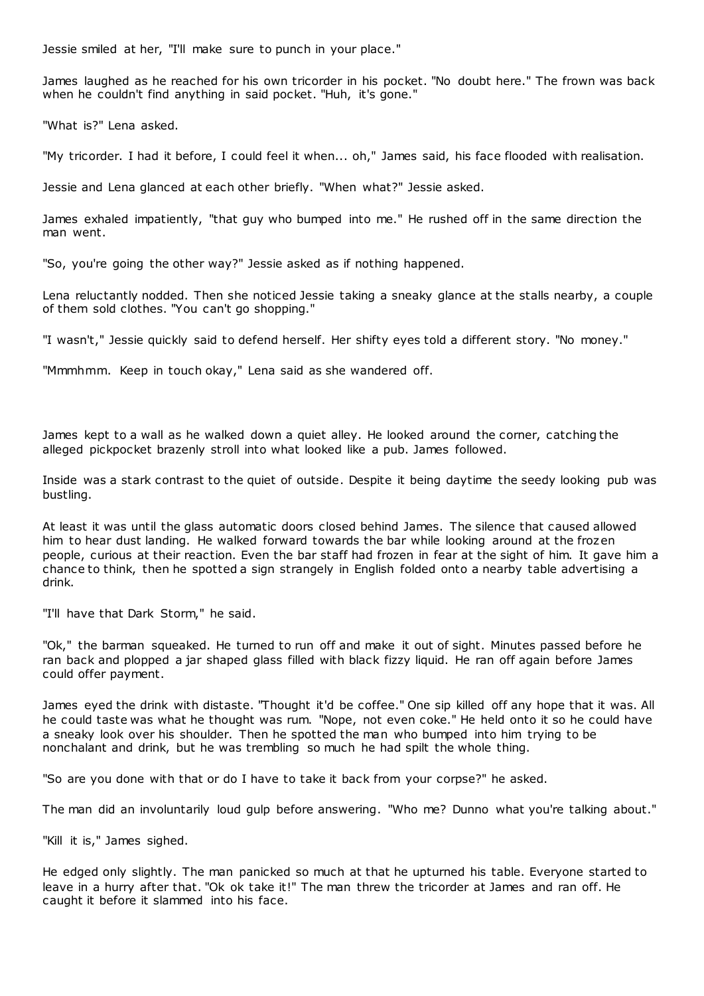Jessie smiled at her, "I'll make sure to punch in your place."

James laughed as he reached for his own tricorder in his pocket. "No doubt here." The frown was back when he couldn't find anything in said pocket. "Huh, it's gone."

"What is?" Lena asked.

"My tricorder. I had it before, I could feel it when... oh," James said, his face flooded with realisation.

Jessie and Lena glanced at each other briefly. "When what?" Jessie asked.

James exhaled impatiently, "that guy who bumped into me." He rushed off in the same direction the man went.

"So, you're going the other way?" Jessie asked as if nothing happened.

Lena reluctantly nodded. Then she noticed Jessie taking a sneaky glance at the stalls nearby, a couple of them sold clothes. "You can't go shopping."

"I wasn't," Jessie quickly said to defend herself. Her shifty eyes told a different story. "No money."

"Mmmhmm. Keep in touch okay," Lena said as she wandered off.

James kept to a wall as he walked down a quiet alley. He looked around the corner, catching the alleged pickpocket brazenly stroll into what looked like a pub. James followed.

Inside was a stark contrast to the quiet of outside. Despite it being daytime the seedy looking pub was bustling.

At least it was until the glass automatic doors closed behind James. The silence that caused allowed him to hear dust landing. He walked forward towards the bar while looking around at the frozen people, curious at their reaction. Even the bar staff had frozen in fear at the sight of him. It gave him a chance to think, then he spotted a sign strangely in English folded onto a nearby table advertising a drink.

"I'll have that Dark Storm," he said.

"Ok," the barman squeaked. He turned to run off and make it out of sight. Minutes passed before he ran back and plopped a jar shaped glass filled with black fizzy liquid. He ran off again before James could offer payment.

James eyed the drink with distaste. "Thought it'd be coffee." One sip killed off any hope that it was. All he could taste was what he thought was rum. "Nope, not even coke." He held onto it so he could have a sneaky look over his shoulder. Then he spotted the man who bumped into him trying to be nonchalant and drink, but he was trembling so much he had spilt the whole thing.

"So are you done with that or do I have to take it back from your corpse?" he asked.

The man did an involuntarily loud gulp before answering. "Who me? Dunno what you're talking about."

"Kill it is," James sighed.

He edged only slightly. The man panicked so much at that he upturned his table. Everyone started to leave in a hurry after that. "Ok ok take it!" The man threw the tricorder at James and ran off. He caught it before it slammed into his face.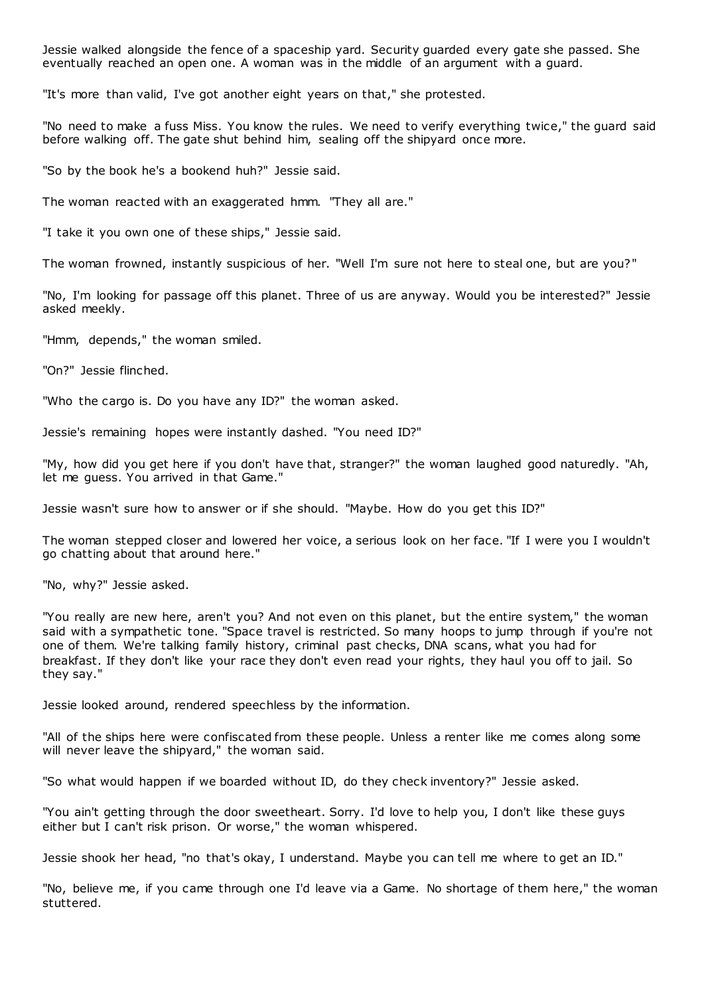Jessie walked alongside the fence of a spaceship yard. Security guarded every gate she passed. She eventually reached an open one. A woman was in the middle of an argument with a guard.

"It's more than valid, I've got another eight years on that," she protested.

"No need to make a fuss Miss. You know the rules. We need to verify everything twice," the guard said before walking off. The gate shut behind him, sealing off the shipyard once more.

"So by the book he's a bookend huh?" Jessie said.

The woman reacted with an exaggerated hmm. "They all are."

"I take it you own one of these ships," Jessie said.

The woman frowned, instantly suspicious of her. "Well I'm sure not here to steal one, but are you?"

"No, I'm looking for passage off this planet. Three of us are anyway. Would you be interested?" Jessie asked meekly.

"Hmm, depends," the woman smiled.

"On?" Jessie flinched.

"Who the cargo is. Do you have any ID?" the woman asked.

Jessie's remaining hopes were instantly dashed. "You need ID?"

"My, how did you get here if you don't have that, stranger?" the woman laughed good naturedly. "Ah, let me guess. You arrived in that Game."

Jessie wasn't sure how to answer or if she should. "Maybe. How do you get this ID?"

The woman stepped closer and lowered her voice, a serious look on her face. "If I were you I wouldn't go chatting about that around here."

"No, why?" Jessie asked.

"You really are new here, aren't you? And not even on this planet, but the entire system," the woman said with a sympathetic tone. "Space travel is restricted. So many hoops to jump through if you're not one of them. We're talking family history, criminal past checks, DNA scans, what you had for breakfast. If they don't like your race they don't even read your rights, they haul you off to jail. So they say."

Jessie looked around, rendered speechless by the information.

"All of the ships here were confiscated from these people. Unless a renter like me comes along some will never leave the shipyard," the woman said.

"So what would happen if we boarded without ID, do they check inventory?" Jessie asked.

"You ain't getting through the door sweetheart. Sorry. I'd love to help you, I don't like these guys either but I can't risk prison. Or worse," the woman whispered.

Jessie shook her head, "no that's okay, I understand. Maybe you can tell me where to get an ID."

"No, believe me, if you came through one I'd leave via a Game. No shortage of them here," the woman stuttered.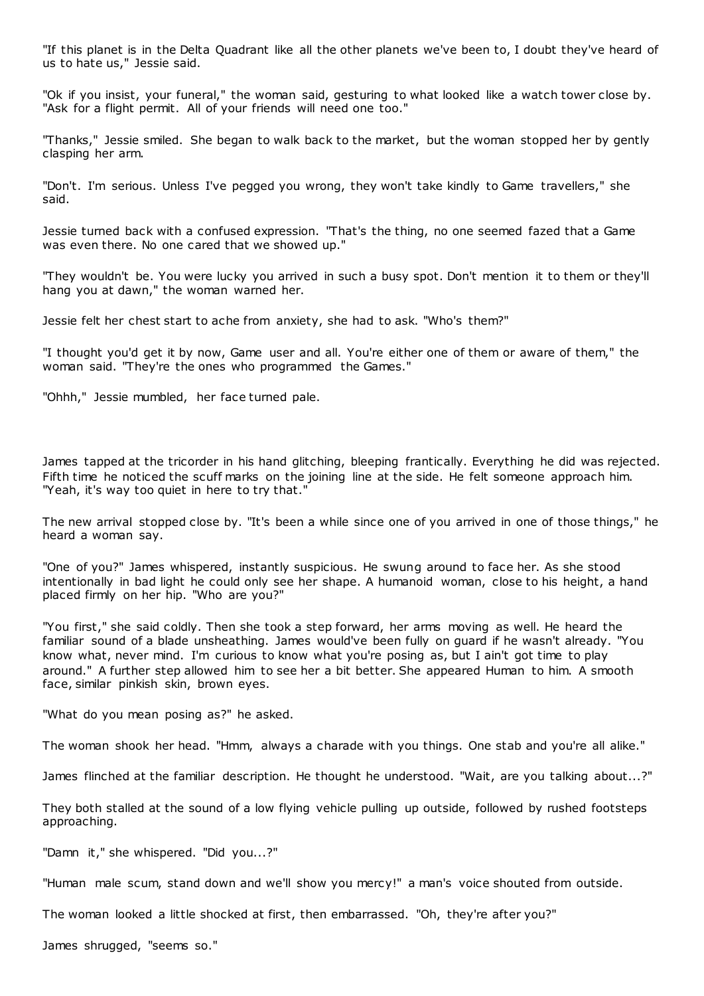"If this planet is in the Delta Quadrant like all the other planets we've been to, I doubt they've heard of us to hate us," Jessie said.

"Ok if you insist, your funeral," the woman said, gesturing to what looked like a watch tower close by. "Ask for a flight permit. All of your friends will need one too."

"Thanks," Jessie smiled. She began to walk back to the market, but the woman stopped her by gently clasping her arm.

"Don't. I'm serious. Unless I've pegged you wrong, they won't take kindly to Game travellers," she said.

Jessie turned back with a confused expression. "That's the thing, no one seemed fazed that a Game was even there. No one cared that we showed up."

"They wouldn't be. You were lucky you arrived in such a busy spot. Don't mention it to them or they'll hang you at dawn," the woman warned her.

Jessie felt her chest start to ache from anxiety, she had to ask. "Who's them?"

"I thought you'd get it by now, Game user and all. You're either one of them or aware of them," the woman said. "They're the ones who programmed the Games."

"Ohhh," Jessie mumbled, her face turned pale.

James tapped at the tricorder in his hand glitching, bleeping frantically. Everything he did was rejected. Fifth time he noticed the scuff marks on the joining line at the side. He felt someone approach him. "Yeah, it's way too quiet in here to try that."

The new arrival stopped close by. "It's been a while since one of you arrived in one of those things," he heard a woman say.

"One of you?" James whispered, instantly suspicious. He swung around to face her. As she stood intentionally in bad light he could only see her shape. A humanoid woman, close to his height, a hand placed firmly on her hip. "Who are you?"

"You first," she said coldly. Then she took a step forward, her arms moving as well. He heard the familiar sound of a blade unsheathing. James would've been fully on guard if he wasn't already. "You know what, never mind. I'm curious to know what you're posing as, but I ain't got time to play around." A further step allowed him to see her a bit better. She appeared Human to him. A smooth face, similar pinkish skin, brown eyes.

"What do you mean posing as?" he asked.

The woman shook her head. "Hmm, always a charade with you things. One stab and you're all alike."

James flinched at the familiar description. He thought he understood. "Wait, are you talking about...?"

They both stalled at the sound of a low flying vehicle pulling up outside, followed by rushed footsteps approaching.

"Damn it," she whispered. "Did you...?"

"Human male scum, stand down and we'll show you mercy!" a man's voice shouted from outside.

The woman looked a little shocked at first, then embarrassed. "Oh, they're after you?"

James shrugged, "seems so."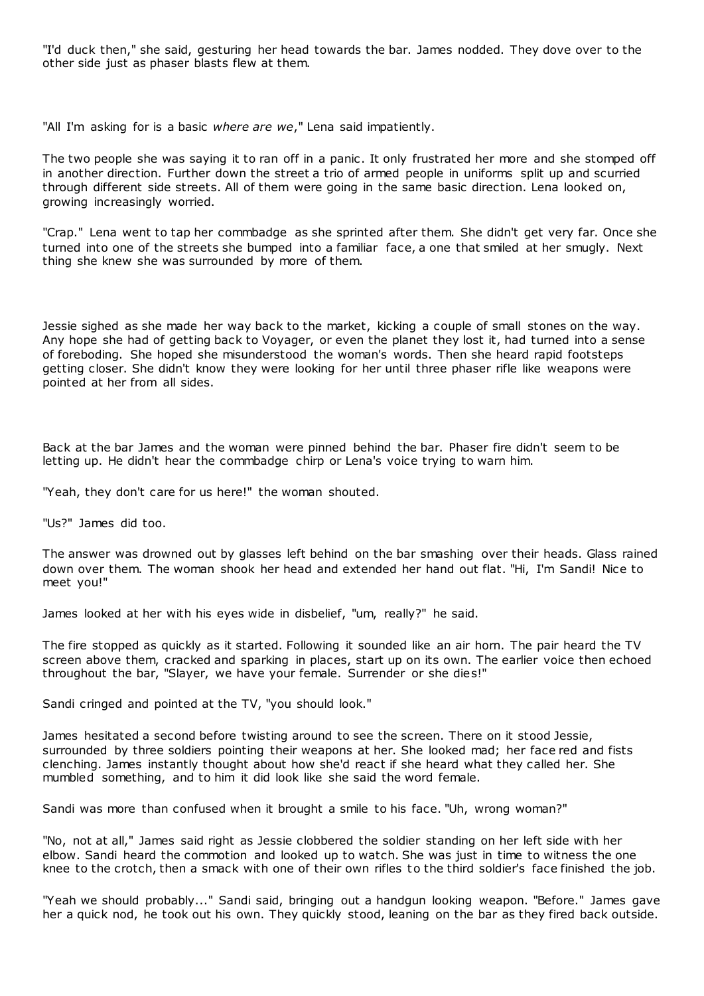"I'd duck then," she said, gesturing her head towards the bar. James nodded. They dove over to the other side just as phaser blasts flew at them.

"All I'm asking for is a basic *where are we*," Lena said impatiently.

The two people she was saying it to ran off in a panic . It only frustrated her more and she stomped off in another direction. Further down the street a trio of armed people in uniforms split up and scurried through different side streets. All of them were going in the same basic direction. Lena looked on, growing increasingly worried.

"Crap." Lena went to tap her commbadge as she sprinted after them. She didn't get very far. Once she turned into one of the streets she bumped into a familiar face, a one that smiled at her smugly. Next thing she knew she was surrounded by more of them.

Jessie sighed as she made her way back to the market, kicking a couple of small stones on the way. Any hope she had of getting back to Voyager, or even the planet they lost it, had turned into a sense of foreboding. She hoped she misunderstood the woman's words. Then she heard rapid footsteps getting closer. She didn't know they were looking for her until three phaser rifle like weapons were pointed at her from all sides.

Back at the bar James and the woman were pinned behind the bar. Phaser fire didn't seem to be letting up. He didn't hear the commbadge chirp or Lena's voice trying to warn him.

"Yeah, they don't care for us here!" the woman shouted.

"Us?" James did too.

The answer was drowned out by glasses left behind on the bar smashing over their heads. Glass rained down over them. The woman shook her head and extended her hand out flat. "Hi, I'm Sandi! Nice to meet you!"

James looked at her with his eyes wide in disbelief, "um, really?" he said.

The fire stopped as quickly as it started. Following it sounded like an air horn. The pair heard the TV screen above them, cracked and sparking in places, start up on its own. The earlier voice then echoed throughout the bar, "Slayer, we have your female. Surrender or she dies!"

Sandi cringed and pointed at the TV, "you should look."

James hesitated a second before twisting around to see the screen. There on it stood Jessie, surrounded by three soldiers pointing their weapons at her. She looked mad; her face red and fists clenching. James instantly thought about how she'd react if she heard what they called her. She mumbled something, and to him it did look like she said the word female.

Sandi was more than confused when it brought a smile to his face. "Uh, wrong woman?"

"No, not at all," James said right as Jessie clobbered the soldier standing on her left side with her elbow. Sandi heard the commotion and looked up to watch. She was just in time to witness the one knee to the crotch, then a smack with one of their own rifles to the third soldier's face finished the job.

"Yeah we should probably..." Sandi said, bringing out a handgun looking weapon. "Before." James gave her a quick nod, he took out his own. They quickly stood, leaning on the bar as they fired back outside.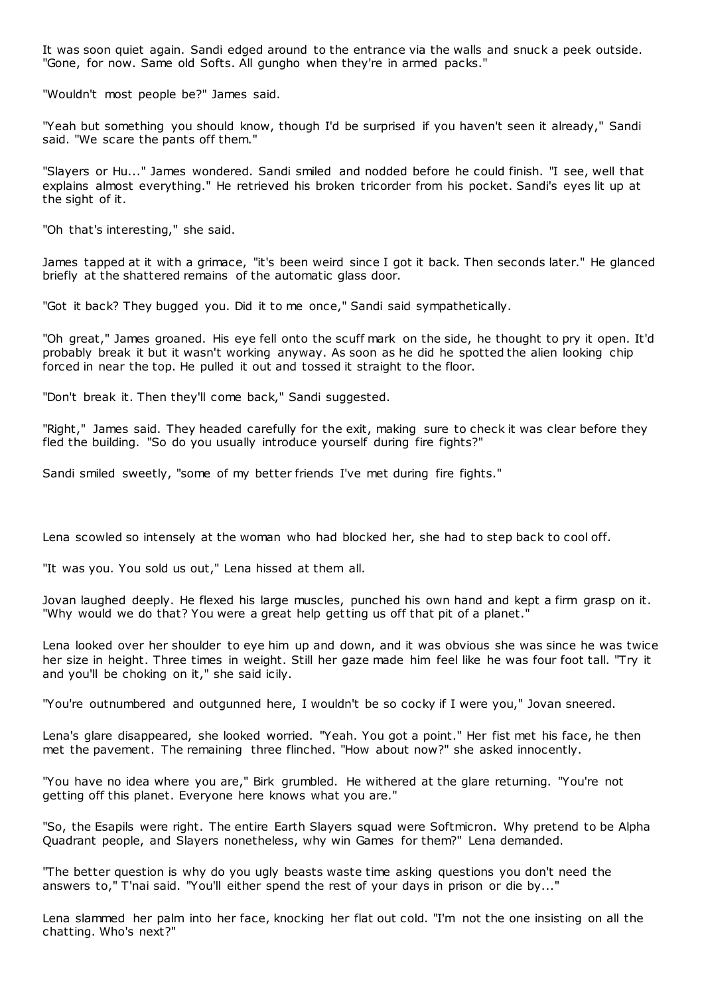It was soon quiet again. Sandi edged around to the entrance via the walls and snuck a peek outside. "Gone, for now. Same old Softs. All gungho when they're in armed packs."

"Wouldn't most people be?" James said.

"Yeah but something you should know, though I'd be surprised if you haven't seen it already," Sandi said. "We scare the pants off them."

"Slayers or Hu..." James wondered. Sandi smiled and nodded before he could finish. "I see, well that explains almost everything." He retrieved his broken tricorder from his pocket. Sandi's eyes lit up at the sight of it.

"Oh that's interesting," she said.

James tapped at it with a grimace, "it's been weird since I got it back. Then seconds later." He glanced briefly at the shattered remains of the automatic glass door.

"Got it back? They bugged you. Did it to me once," Sandi said sympathetically.

"Oh great," James groaned. His eye fell onto the scuff mark on the side, he thought to pry it open. It'd probably break it but it wasn't working anyway. As soon as he did he spotted the alien looking chip forced in near the top. He pulled it out and tossed it straight to the floor.

"Don't break it. Then they'll come back," Sandi suggested.

"Right," James said. They headed carefully for the exit, making sure to check it was clear before they fled the building. "So do you usually introduce yourself during fire fights?"

Sandi smiled sweetly, "some of my better friends I've met during fire fights."

Lena scowled so intensely at the woman who had blocked her, she had to step back to cool off.

"It was you. You sold us out," Lena hissed at them all.

Jovan laughed deeply. He flexed his large muscles, punched his own hand and kept a firm grasp on it. "Why would we do that? You were a great help getting us off that pit of a planet."

Lena looked over her shoulder to eye him up and down, and it was obvious she was since he was twice her size in height. Three times in weight. Still her gaze made him feel like he was four foot tall. "Try it and you'll be choking on it," she said icily.

"You're outnumbered and outgunned here, I wouldn't be so cocky if I were you," Jovan sneered.

Lena's glare disappeared, she looked worried. "Yeah. You got a point." Her fist met his face, he then met the pavement. The remaining three flinched. "How about now?" she asked innocently.

"You have no idea where you are," Birk grumbled. He withered at the glare returning. "You're not getting off this planet. Everyone here knows what you are."

"So, the Esapils were right. The entire Earth Slayers squad were Softmicron. Why pretend to be Alpha Quadrant people, and Slayers nonetheless, why win Games for them?" Lena demanded.

"The better question is why do you ugly beasts waste time asking questions you don't need the answers to," T'nai said. "You'll either spend the rest of your days in prison or die by..."

Lena slammed her palm into her face, knocking her flat out cold. "I'm not the one insisting on all the chatting. Who's next?"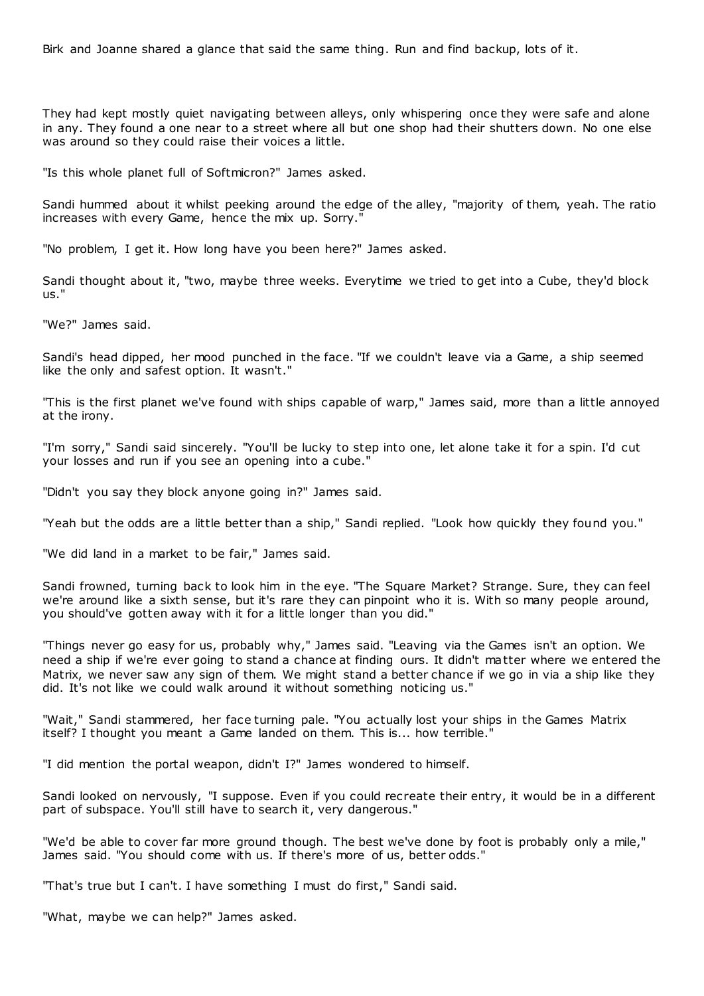Birk and Joanne shared a glance that said the same thing. Run and find backup, lots of it.

They had kept mostly quiet navigating between alleys, only whispering once they were safe and alone in any. They found a one near to a street where all but one shop had their shutters down. No one else was around so they could raise their voices a little.

"Is this whole planet full of Softmicron?" James asked.

Sandi hummed about it whilst peeking around the edge of the alley, "majority of them, yeah. The ratio increases with every Game, hence the mix up. Sorry."

"No problem, I get it. How long have you been here?" James asked.

Sandi thought about it, "two, maybe three weeks. Everytime we tried to get into a Cube, they'd block us."

"We?" James said.

Sandi's head dipped, her mood punched in the face. "If we couldn't leave via a Game, a ship seemed like the only and safest option. It wasn't."

"This is the first planet we've found with ships capable of warp," James said, more than a little annoyed at the irony.

"I'm sorry," Sandi said sincerely. "You'll be lucky to step into one, let alone take it for a spin. I'd cut your losses and run if you see an opening into a cube."

"Didn't you say they block anyone going in?" James said.

"Yeah but the odds are a little better than a ship," Sandi replied. "Look how quickly they found you."

"We did land in a market to be fair," James said.

Sandi frowned, turning back to look him in the eye. "The Square Market? Strange. Sure, they can feel we're around like a sixth sense, but it's rare they can pinpoint who it is. With so many people around, you should've gotten away with it for a little longer than you did."

"Things never go easy for us, probably why," James said. "Leaving via the Games isn't an option. We need a ship if we're ever going to stand a chance at finding ours. It didn't matter where we entered the Matrix, we never saw any sign of them. We might stand a better chance if we go in via a ship like they did. It's not like we could walk around it without something noticing us."

"Wait," Sandi stammered, her face turning pale. "You actually lost your ships in the Games Matrix itself? I thought you meant a Game landed on them. This is... how terrible."

"I did mention the portal weapon, didn't I?" James wondered to himself.

Sandi looked on nervously, "I suppose. Even if you could recreate their entry, it would be in a different part of subspace. You'll still have to search it, very dangerous."

"We'd be able to cover far more ground though. The best we've done by foot is probably only a mile," James said. "You should come with us. If there's more of us, better odds."

"That's true but I can't. I have something I must do first," Sandi said.

"What, maybe we can help?" James asked.